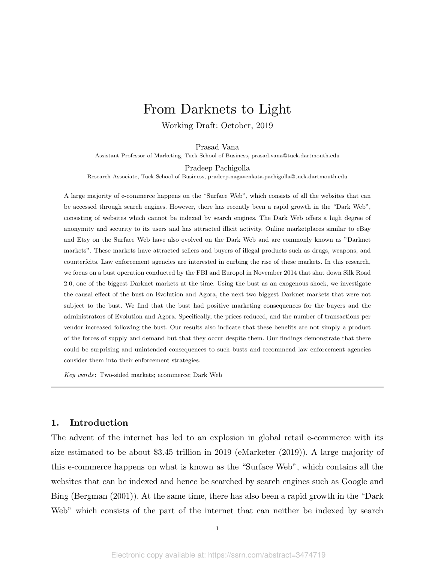# From Darknets to Light

Working Draft: October, 2019

Prasad Vana

Assistant Professor of Marketing, Tuck School of Business, prasad.vana@tuck.dartmouth.edu

Pradeep Pachigolla

Research Associate, Tuck School of Business, pradeep.nagavenkata.pachigolla@tuck.dartmouth.edu

A large majority of e-commerce happens on the "Surface Web", which consists of all the websites that can be accessed through search engines. However, there has recently been a rapid growth in the "Dark Web", consisting of websites which cannot be indexed by search engines. The Dark Web offers a high degree of anonymity and security to its users and has attracted illicit activity. Online marketplaces similar to eBay and Etsy on the Surface Web have also evolved on the Dark Web and are commonly known as "Darknet markets". These markets have attracted sellers and buyers of illegal products such as drugs, weapons, and counterfeits. Law enforcement agencies are interested in curbing the rise of these markets. In this research, we focus on a bust operation conducted by the FBI and Europol in November 2014 that shut down Silk Road 2.0, one of the biggest Darknet markets at the time. Using the bust as an exogenous shock, we investigate the causal effect of the bust on Evolution and Agora, the next two biggest Darknet markets that were not subject to the bust. We find that the bust had positive marketing consequences for the buyers and the administrators of Evolution and Agora. Specifically, the prices reduced, and the number of transactions per vendor increased following the bust. Our results also indicate that these benefits are not simply a product of the forces of supply and demand but that they occur despite them. Our findings demonstrate that there could be surprising and unintended consequences to such busts and recommend law enforcement agencies consider them into their enforcement strategies.

Key words : Two-sided markets; ecommerce; Dark Web

# 1. Introduction

The advent of the internet has led to an explosion in global retail e-commerce with its size estimated to be about \$3.45 trillion in 2019 (eMarketer (2019)). A large majority of this e-commerce happens on what is known as the "Surface Web", which contains all the websites that can be indexed and hence be searched by search engines such as Google and Bing (Bergman (2001)). At the same time, there has also been a rapid growth in the "Dark Web" which consists of the part of the internet that can neither be indexed by search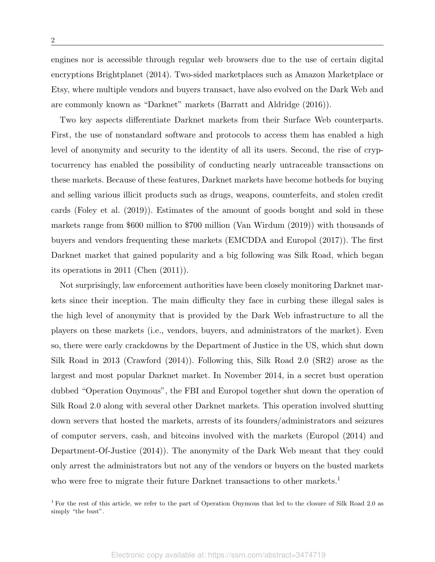engines nor is accessible through regular web browsers due to the use of certain digital encryptions Brightplanet (2014). Two-sided marketplaces such as Amazon Marketplace or Etsy, where multiple vendors and buyers transact, have also evolved on the Dark Web and are commonly known as "Darknet" markets (Barratt and Aldridge (2016)).

Two key aspects differentiate Darknet markets from their Surface Web counterparts. First, the use of nonstandard software and protocols to access them has enabled a high level of anonymity and security to the identity of all its users. Second, the rise of cryptocurrency has enabled the possibility of conducting nearly untraceable transactions on these markets. Because of these features, Darknet markets have become hotbeds for buying and selling various illicit products such as drugs, weapons, counterfeits, and stolen credit cards (Foley et al. (2019)). Estimates of the amount of goods bought and sold in these markets range from \$600 million to \$700 million (Van Wirdum (2019)) with thousands of buyers and vendors frequenting these markets (EMCDDA and Europol (2017)). The first Darknet market that gained popularity and a big following was Silk Road, which began its operations in 2011 (Chen (2011)).

Not surprisingly, law enforcement authorities have been closely monitoring Darknet markets since their inception. The main difficulty they face in curbing these illegal sales is the high level of anonymity that is provided by the Dark Web infrastructure to all the players on these markets (i.e., vendors, buyers, and administrators of the market). Even so, there were early crackdowns by the Department of Justice in the US, which shut down Silk Road in 2013 (Crawford (2014)). Following this, Silk Road 2.0 (SR2) arose as the largest and most popular Darknet market. In November 2014, in a secret bust operation dubbed "Operation Onymous", the FBI and Europol together shut down the operation of Silk Road 2.0 along with several other Darknet markets. This operation involved shutting down servers that hosted the markets, arrests of its founders/administrators and seizures of computer servers, cash, and bitcoins involved with the markets (Europol (2014) and Department-Of-Justice (2014)). The anonymity of the Dark Web meant that they could only arrest the administrators but not any of the vendors or buyers on the busted markets who were free to migrate their future Darknet transactions to other markets.<sup>1</sup>

<sup>&</sup>lt;sup>1</sup> For the rest of this article, we refer to the part of Operation Onymous that led to the closure of Silk Road 2.0 as simply "the bust".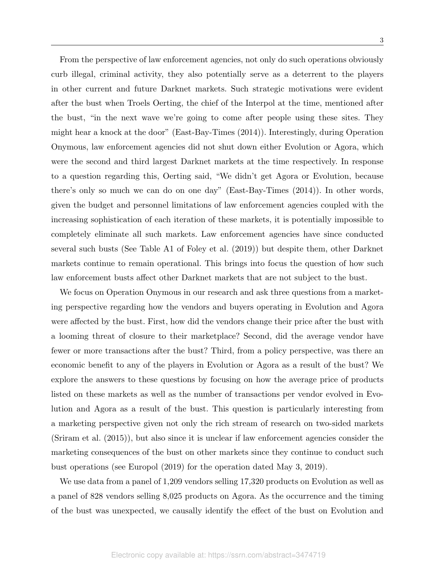From the perspective of law enforcement agencies, not only do such operations obviously curb illegal, criminal activity, they also potentially serve as a deterrent to the players in other current and future Darknet markets. Such strategic motivations were evident after the bust when Troels Oerting, the chief of the Interpol at the time, mentioned after the bust, "in the next wave we're going to come after people using these sites. They might hear a knock at the door" (East-Bay-Times (2014)). Interestingly, during Operation Onymous, law enforcement agencies did not shut down either Evolution or Agora, which were the second and third largest Darknet markets at the time respectively. In response to a question regarding this, Oerting said, "We didn't get Agora or Evolution, because there's only so much we can do on one day" (East-Bay-Times (2014)). In other words, given the budget and personnel limitations of law enforcement agencies coupled with the increasing sophistication of each iteration of these markets, it is potentially impossible to completely eliminate all such markets. Law enforcement agencies have since conducted several such busts (See Table A1 of Foley et al. (2019)) but despite them, other Darknet markets continue to remain operational. This brings into focus the question of how such law enforcement busts affect other Darknet markets that are not subject to the bust.

We focus on Operation Onymous in our research and ask three questions from a marketing perspective regarding how the vendors and buyers operating in Evolution and Agora were affected by the bust. First, how did the vendors change their price after the bust with a looming threat of closure to their marketplace? Second, did the average vendor have fewer or more transactions after the bust? Third, from a policy perspective, was there an economic benefit to any of the players in Evolution or Agora as a result of the bust? We explore the answers to these questions by focusing on how the average price of products listed on these markets as well as the number of transactions per vendor evolved in Evolution and Agora as a result of the bust. This question is particularly interesting from a marketing perspective given not only the rich stream of research on two-sided markets (Sriram et al. (2015)), but also since it is unclear if law enforcement agencies consider the marketing consequences of the bust on other markets since they continue to conduct such bust operations (see Europol (2019) for the operation dated May 3, 2019).

We use data from a panel of 1,209 vendors selling 17,320 products on Evolution as well as a panel of 828 vendors selling 8,025 products on Agora. As the occurrence and the timing of the bust was unexpected, we causally identify the effect of the bust on Evolution and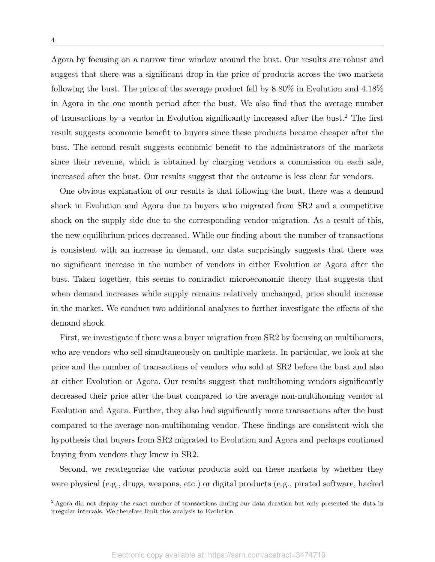Agora by focusing on a narrow time window around the bust. Our results are robust and suggest that there was a significant drop in the price of products across the two markets following the bust. The price of the average product fell by 8.80% in Evolution and 4.18% in Agora in the one month period after the bust. We also find that the average number of transactions by a vendor in Evolution significantly increased after the bust.<sup>2</sup> The first result suggests economic benefit to buyers since these products became cheaper after the bust. The second result suggests economic benefit to the administrators of the markets since their revenue, which is obtained by charging vendors a commission on each sale, increased after the bust. Our results suggest that the outcome is less clear for vendors.

One obvious explanation of our results is that following the bust, there was a demand shock in Evolution and Agora due to buyers who migrated from SR2 and a competitive shock on the supply side due to the corresponding vendor migration. As a result of this, the new equilibrium prices decreased. While our finding about the number of transactions is consistent with an increase in demand, our data surprisingly suggests that there was no significant increase in the number of vendors in either Evolution or Agora after the bust. Taken together, this seems to contradict microeconomic theory that suggests that when demand increases while supply remains relatively unchanged, price should increase in the market. We conduct two additional analyses to further investigate the effects of the demand shock.

First, we investigate if there was a buyer migration from SR2 by focusing on multihomers, who are vendors who sell simultaneously on multiple markets. In particular, we look at the price and the number of transactions of vendors who sold at SR2 before the bust and also at either Evolution or Agora. Our results suggest that multihoming vendors significantly decreased their price after the bust compared to the average non-multihoming vendor at Evolution and Agora. Further, they also had significantly more transactions after the bust compared to the average non-multihoming vendor. These findings are consistent with the hypothesis that buyers from SR2 migrated to Evolution and Agora and perhaps continued buying from vendors they knew in SR2.

Second, we recategorize the various products sold on these markets by whether they were physical (e.g., drugs, weapons, etc.) or digital products (e.g., pirated software, hacked

<sup>&</sup>lt;sup>2</sup> Agora did not display the exact number of transactions during our data duration but only presented the data in irregular intervals. We therefore limit this analysis to Evolution.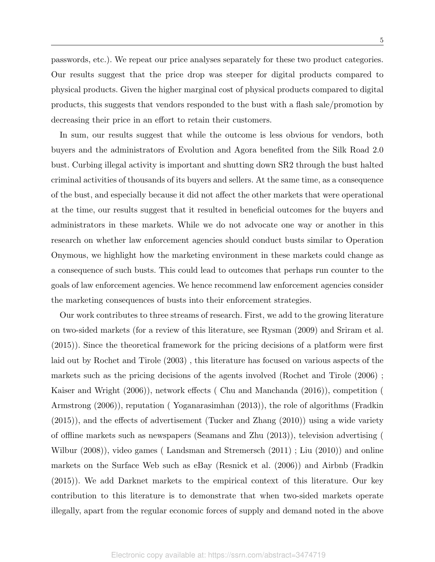passwords, etc.). We repeat our price analyses separately for these two product categories. Our results suggest that the price drop was steeper for digital products compared to physical products. Given the higher marginal cost of physical products compared to digital products, this suggests that vendors responded to the bust with a flash sale/promotion by decreasing their price in an effort to retain their customers.

In sum, our results suggest that while the outcome is less obvious for vendors, both buyers and the administrators of Evolution and Agora benefited from the Silk Road 2.0 bust. Curbing illegal activity is important and shutting down SR2 through the bust halted criminal activities of thousands of its buyers and sellers. At the same time, as a consequence of the bust, and especially because it did not affect the other markets that were operational at the time, our results suggest that it resulted in beneficial outcomes for the buyers and administrators in these markets. While we do not advocate one way or another in this research on whether law enforcement agencies should conduct busts similar to Operation Onymous, we highlight how the marketing environment in these markets could change as a consequence of such busts. This could lead to outcomes that perhaps run counter to the goals of law enforcement agencies. We hence recommend law enforcement agencies consider the marketing consequences of busts into their enforcement strategies.

Our work contributes to three streams of research. First, we add to the growing literature on two-sided markets (for a review of this literature, see Rysman (2009) and Sriram et al. (2015)). Since the theoretical framework for the pricing decisions of a platform were first laid out by Rochet and Tirole (2003) , this literature has focused on various aspects of the markets such as the pricing decisions of the agents involved (Rochet and Tirole (2006) ; Kaiser and Wright (2006)), network effects ( Chu and Manchanda (2016)), competition ( Armstrong (2006)), reputation ( Yoganarasimhan (2013)), the role of algorithms (Fradkin (2015)), and the effects of advertisement (Tucker and Zhang (2010)) using a wide variety of offline markets such as newspapers (Seamans and Zhu (2013)), television advertising ( Wilbur (2008)), video games ( Landsman and Stremersch (2011) ; Liu (2010)) and online markets on the Surface Web such as eBay (Resnick et al. (2006)) and Airbnb (Fradkin (2015)). We add Darknet markets to the empirical context of this literature. Our key contribution to this literature is to demonstrate that when two-sided markets operate illegally, apart from the regular economic forces of supply and demand noted in the above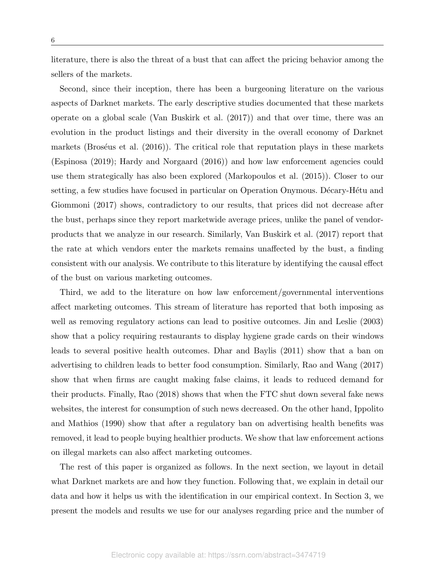literature, there is also the threat of a bust that can affect the pricing behavior among the sellers of the markets.

Second, since their inception, there has been a burgeoning literature on the various aspects of Darknet markets. The early descriptive studies documented that these markets operate on a global scale (Van Buskirk et al. (2017)) and that over time, there was an evolution in the product listings and their diversity in the overall economy of Darknet markets (Broséus et al.  $(2016)$ ). The critical role that reputation plays in these markets (Espinosa (2019); Hardy and Norgaard (2016)) and how law enforcement agencies could use them strategically has also been explored (Markopoulos et al. (2015)). Closer to our setting, a few studies have focused in particular on Operation Onymous. Décary-Hétu and Giommoni (2017) shows, contradictory to our results, that prices did not decrease after the bust, perhaps since they report marketwide average prices, unlike the panel of vendorproducts that we analyze in our research. Similarly, Van Buskirk et al. (2017) report that the rate at which vendors enter the markets remains unaffected by the bust, a finding consistent with our analysis. We contribute to this literature by identifying the causal effect of the bust on various marketing outcomes.

Third, we add to the literature on how law enforcement/governmental interventions affect marketing outcomes. This stream of literature has reported that both imposing as well as removing regulatory actions can lead to positive outcomes. Jin and Leslie (2003) show that a policy requiring restaurants to display hygiene grade cards on their windows leads to several positive health outcomes. Dhar and Baylis (2011) show that a ban on advertising to children leads to better food consumption. Similarly, Rao and Wang (2017) show that when firms are caught making false claims, it leads to reduced demand for their products. Finally, Rao (2018) shows that when the FTC shut down several fake news websites, the interest for consumption of such news decreased. On the other hand, Ippolito and Mathios (1990) show that after a regulatory ban on advertising health benefits was removed, it lead to people buying healthier products. We show that law enforcement actions on illegal markets can also affect marketing outcomes.

The rest of this paper is organized as follows. In the next section, we layout in detail what Darknet markets are and how they function. Following that, we explain in detail our data and how it helps us with the identification in our empirical context. In Section 3, we present the models and results we use for our analyses regarding price and the number of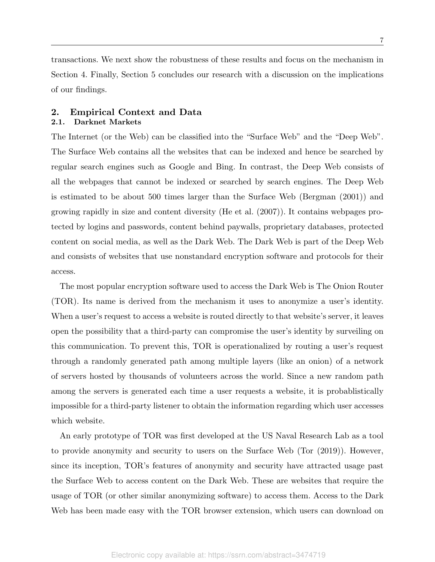transactions. We next show the robustness of these results and focus on the mechanism in Section 4. Finally, Section 5 concludes our research with a discussion on the implications of our findings.

# 2. Empirical Context and Data

# 2.1. Darknet Markets

The Internet (or the Web) can be classified into the "Surface Web" and the "Deep Web". The Surface Web contains all the websites that can be indexed and hence be searched by regular search engines such as Google and Bing. In contrast, the Deep Web consists of all the webpages that cannot be indexed or searched by search engines. The Deep Web is estimated to be about 500 times larger than the Surface Web (Bergman (2001)) and growing rapidly in size and content diversity (He et al. (2007)). It contains webpages protected by logins and passwords, content behind paywalls, proprietary databases, protected content on social media, as well as the Dark Web. The Dark Web is part of the Deep Web and consists of websites that use nonstandard encryption software and protocols for their access.

The most popular encryption software used to access the Dark Web is The Onion Router (TOR). Its name is derived from the mechanism it uses to anonymize a user's identity. When a user's request to access a website is routed directly to that website's server, it leaves open the possibility that a third-party can compromise the user's identity by surveiling on this communication. To prevent this, TOR is operationalized by routing a user's request through a randomly generated path among multiple layers (like an onion) of a network of servers hosted by thousands of volunteers across the world. Since a new random path among the servers is generated each time a user requests a website, it is probablistically impossible for a third-party listener to obtain the information regarding which user accesses which website.

An early prototype of TOR was first developed at the US Naval Research Lab as a tool to provide anonymity and security to users on the Surface Web (Tor (2019)). However, since its inception, TOR's features of anonymity and security have attracted usage past the Surface Web to access content on the Dark Web. These are websites that require the usage of TOR (or other similar anonymizing software) to access them. Access to the Dark Web has been made easy with the TOR browser extension, which users can download on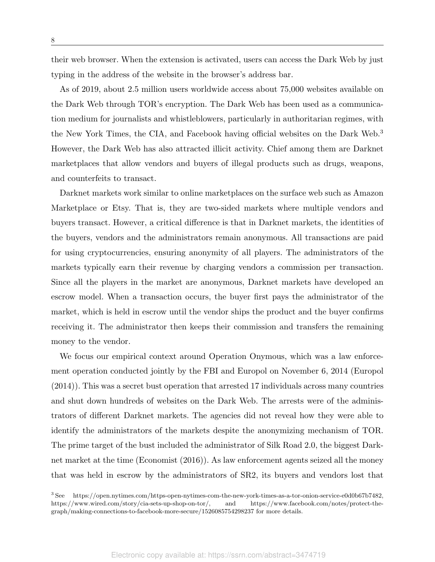their web browser. When the extension is activated, users can access the Dark Web by just typing in the address of the website in the browser's address bar.

As of 2019, about 2.5 million users worldwide access about 75,000 websites available on the Dark Web through TOR's encryption. The Dark Web has been used as a communication medium for journalists and whistleblowers, particularly in authoritarian regimes, with the New York Times, the CIA, and Facebook having official websites on the Dark Web.<sup>3</sup> However, the Dark Web has also attracted illicit activity. Chief among them are Darknet marketplaces that allow vendors and buyers of illegal products such as drugs, weapons, and counterfeits to transact.

Darknet markets work similar to online marketplaces on the surface web such as Amazon Marketplace or Etsy. That is, they are two-sided markets where multiple vendors and buyers transact. However, a critical difference is that in Darknet markets, the identities of the buyers, vendors and the administrators remain anonymous. All transactions are paid for using cryptocurrencies, ensuring anonymity of all players. The administrators of the markets typically earn their revenue by charging vendors a commission per transaction. Since all the players in the market are anonymous, Darknet markets have developed an escrow model. When a transaction occurs, the buyer first pays the administrator of the market, which is held in escrow until the vendor ships the product and the buyer confirms receiving it. The administrator then keeps their commission and transfers the remaining money to the vendor.

We focus our empirical context around Operation Onymous, which was a law enforcement operation conducted jointly by the FBI and Europol on November 6, 2014 (Europol (2014)). This was a secret bust operation that arrested 17 individuals across many countries and shut down hundreds of websites on the Dark Web. The arrests were of the administrators of different Darknet markets. The agencies did not reveal how they were able to identify the administrators of the markets despite the anonymizing mechanism of TOR. The prime target of the bust included the administrator of Silk Road 2.0, the biggest Darknet market at the time (Economist (2016)). As law enforcement agents seized all the money that was held in escrow by the administrators of SR2, its buyers and vendors lost that

<sup>3</sup> See https://open.nytimes.com/https-open-nytimes-com-the-new-york-times-as-a-tor-onion-service-e0d0b67b7482, https://www.wired.com/story/cia-sets-up-shop-on-tor/, and https://www.facebook.com/notes/protect-thegraph/making-connections-to-facebook-more-secure/1526085754298237 for more details.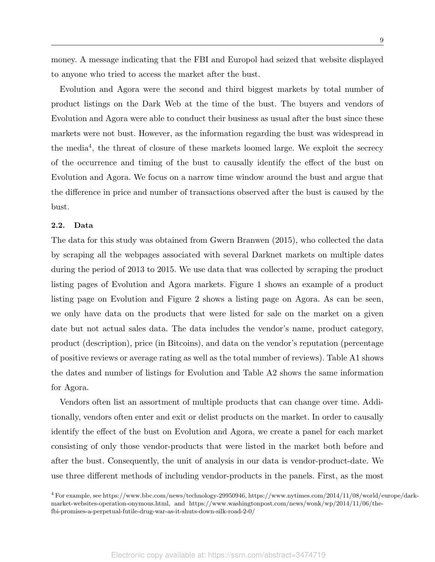money. A message indicating that the FBI and Europol had seized that website displayed to anyone who tried to access the market after the bust.

Evolution and Agora were the second and third biggest markets by total number of product listings on the Dark Web at the time of the bust. The buyers and vendors of Evolution and Agora were able to conduct their business as usual after the bust since these markets were not bust. However, as the information regarding the bust was widespread in the media<sup>4</sup>, the threat of closure of these markets loomed large. We exploit the secrecy of the occurrence and timing of the bust to causally identify the effect of the bust on Evolution and Agora. We focus on a narrow time window around the bust and argue that the difference in price and number of transactions observed after the bust is caused by the bust.

#### 2.2. Data

The data for this study was obtained from Gwern Branwen (2015), who collected the data by scraping all the webpages associated with several Darknet markets on multiple dates during the period of 2013 to 2015. We use data that was collected by scraping the product listing pages of Evolution and Agora markets. Figure 1 shows an example of a product listing page on Evolution and Figure 2 shows a listing page on Agora. As can be seen, we only have data on the products that were listed for sale on the market on a given date but not actual sales data. The data includes the vendor's name, product category, product (description), price (in Bitcoins), and data on the vendor's reputation (percentage of positive reviews or average rating as well as the total number of reviews). Table A1 shows the dates and number of listings for Evolution and Table A2 shows the same information for Agora.

Vendors often list an assortment of multiple products that can change over time. Additionally, vendors often enter and exit or delist products on the market. In order to causally identify the effect of the bust on Evolution and Agora, we create a panel for each market consisting of only those vendor-products that were listed in the market both before and after the bust. Consequently, the unit of analysis in our data is vendor-product-date. We use three different methods of including vendor-products in the panels. First, as the most

<sup>4</sup> For example, see https://www.bbc.com/news/technology-29950946, https://www.nytimes.com/2014/11/08/world/europe/darkmarket-websites-operation-onymous.html, and https://www.washingtonpost.com/news/wonk/wp/2014/11/06/thefbi-promises-a-perpetual-futile-drug-war-as-it-shuts-down-silk-road-2-0/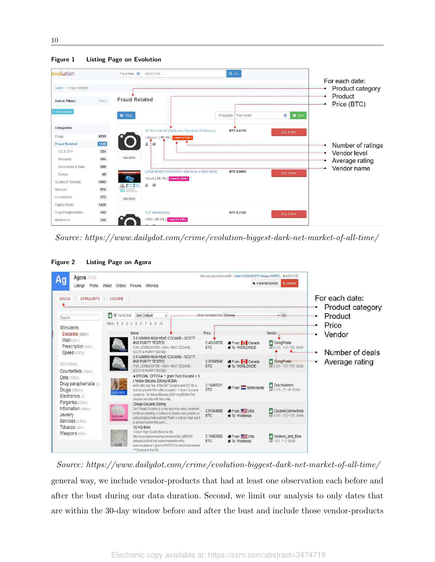| evolution             |       | $Q$ Go<br>Fraud Rela<br>Search for                                                                               |                                    |
|-----------------------|-------|------------------------------------------------------------------------------------------------------------------|------------------------------------|
| Home / Fraud Related  |       |                                                                                                                  | For each date:<br>Product category |
| <b>Active Filters</b> | Clear | <b>Fraud Related</b>                                                                                             | Product<br>Price (BTC)             |
| × Active vendor       |       | ×<br>Popularity - This month<br><b>O</b> Filter                                                                  | <b>O</b> Sort                      |
| Categories            |       | CC from the US (Centurion, Signature & Platinum)<br>BTC 0.0176<br><b>Buy It Now</b>                              |                                    |
| Drugs.                | 8390  | railguydd (98.1%) Lever4 (1226)                                                                                  |                                    |
| <b>Fraud Related</b>  | 1426  | $\circ$<br>圭                                                                                                     | Number of ratings                  |
| CC & CVV              | 334   |                                                                                                                  | Vendor level<br>۰                  |
| Accounts              | 494   | <b>FAVORITE</b>                                                                                                  | Average rating                     |
| Documents & Data      | 299   |                                                                                                                  | Vendor name                        |
| Durnps                | 65    | LEGENDARY) NON-AVS // .Bill=Ship. // NEW BASE<br><b>BTC 0.0000</b><br>Buy it Now<br>Yasuo (99.1%) Level 5 (2219) |                                    |
| Guides & Tutorials    | 1663  | 土<br>$\circ$<br>$\circ$ : :                                                                                      |                                    |
| Services              | 570   |                                                                                                                  |                                    |
| Counterfeits          | 372   | <b>FAVORITE</b>                                                                                                  |                                    |
| Digital Goods         | 1439  |                                                                                                                  |                                    |
| Drug Paraphernalia    | 162   | BTC 0.1102<br><b>TCF Membership</b><br><b>Buy it Now</b>                                                         |                                    |
| Electronics           | 144   | Verto (99.9%) Level 5 (1170)                                                                                     |                                    |

*Source: https://www.dailydot.com/crime/evolution-biggest-dark-net-market-of-all-time/*

Figure 2 Listing Page on Agora

| <b>DRUGS</b><br><b>STIMULANTS</b>                                                                | COCAINE                                                                                                                                                                                                                                                                                                             |                          |                                                              |                                                  | For each date:<br>Product category |
|--------------------------------------------------------------------------------------------------|---------------------------------------------------------------------------------------------------------------------------------------------------------------------------------------------------------------------------------------------------------------------------------------------------------------------|--------------------------|--------------------------------------------------------------|--------------------------------------------------|------------------------------------|
| Search                                                                                           | V No-FE first<br>Sort Default                                                                                                                                                                                                                                                                                       |                          | Show domestic first. Choose                                  | $\times$ Go.                                     | Product                            |
| Stimulants                                                                                       | More: 1 2 3 4 5 6 7 8 9 10                                                                                                                                                                                                                                                                                          |                          |                                                              |                                                  | Price                              |
| Cocaine (200+)                                                                                   | Name                                                                                                                                                                                                                                                                                                                | Price                    |                                                              | Vendor                                           | Vendor                             |
| Meth (60+)<br>Prescription (40+)<br>Speed (100+)                                                 | 3.5 GRAMS HIGH HEAT COCAINE - SCOTT<br>AND PURITY TESTED<br>THIS LISTING IS FOR - HIGH - HEAT COCAINE -<br><b>SCOTT &amp; PURITY TESTED</b>                                                                                                                                                                         | 0.46163078<br><b>BTC</b> | <b>B</b> From: Canada<br><b># To: WORLDWIDE</b>              | GoingPostal<br>M 5.0/5. 100~150 deals            | Number of deals                    |
| Main menu:                                                                                       | 0.5 GRAMS HIGH HEAT COCAINE - SCOTT<br>AND PURITY TESTED<br>THIS LISTING IS FOR - HIGH - HEAT COCAINE -                                                                                                                                                                                                             | 0.07693846<br><b>BTC</b> | <b>B</b> From: <b>I + I</b> Canada<br><b># To: WORLDWIDE</b> | <b>B</b> GoingPostal<br>Jal 5.0/5. 100~150 deals | Average rating                     |
| Counterfeits (100+)<br>Data (100+)<br>Drug paraphernalia (9)<br>Drugs (3900+)<br>Electronics (5) | <b>SCOTT &amp; PURITY TESTED</b><br>*SPECIAL OFFER* 1 gram Pure Cocaine + 5<br>x Yellow Bitcoins 200mg MDMA<br>*We offer you "top of the bill" Cocaine and XTC for a<br>special price!* This offer included: - 1 Gram Cocaine<br>(grade A) - 5x Yellow Bitcoins (200+mg MDMA) The<br>cocaine we ship with this orde | 0.18465231<br><b>BTC</b> | From: Netherlands                                            | DutchMasters<br>all 5.0/5.25~40 deals            |                                    |
| Forgeries (100+)<br>Information (600+)<br>Jewelry<br>Services (100+)                             | Cheap Cocaine 200mg<br>Our Cheap Cocaine is a very very nice value, excellent<br>for those reselling. A mixture of chunks and powder as<br><b>Electricolar</b><br>pictured about half and half. Purity is not very high but it<br><b>CocaineCunnective</b><br>is at least above forty perc.                         | 0.01864988<br><b>BTC</b> | From USA<br>To: Worldwide                                    | CocaineConnections<br>M 4.9/5, 100~150 deals     |                                    |
| Tobacco (40+)<br>Weapons (60+)                                                                   | 1G HQ Blow<br>1 Gram High Quality Blow No BS<br>http://xoqyrrgahnoenamg.onion/sm/SM_MRROR<br>/sheep5u64fi457aw.onion/market/item/hg-<br>HnB<br>pure-cocaine-a-1-gram-d75d751f7e.html Past reviews<br>AM Escrow in the US                                                                                            | 0.18463692<br>BTC:       | From USA<br><b>*</b> To: Worldwide                           | Hookers_and_Blow<br>$-5/5$ 1 -2 deals            |                                    |

*Source: https://www.dailydot.com/crime/evolution-biggest-dark-net-market-of-all-time/* general way, we include vendor-products that had at least one observation each before and after the bust during our data duration. Second, we limit our analysis to only dates that are within the 30-day window before and after the bust and include those vendor-products

Figure 1 Listing Page on Evolution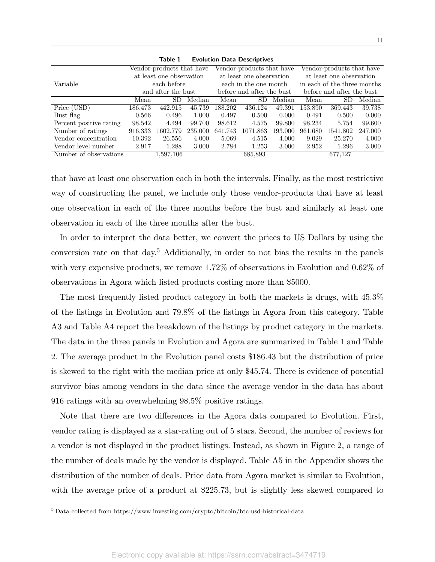|                         |                                      | Vendor-products that have |         |         | Vendor-products that have |         | Vendor-products that have   |          |         |  |
|-------------------------|--------------------------------------|---------------------------|---------|---------|---------------------------|---------|-----------------------------|----------|---------|--|
|                         |                                      | at least one observation  |         |         | at least one observation  |         | at least one observation    |          |         |  |
| Variable                | each before<br>each in the one month |                           |         |         |                           |         | in each of the three months |          |         |  |
|                         |                                      | and after the bust        |         |         | before and after the bust |         | before and after the bust   |          |         |  |
|                         | Mean                                 | SD.                       | Median  | Mean    | SD                        | Median  | Mean                        | SD.      | Median  |  |
| Price (USD)             | 186.473                              | 442.915                   | 45.739  | 188.202 | 436.124                   | 49.391  | 153.890                     | 369.443  | 39.738  |  |
| Bust flag               | 0.566                                | 0.496                     | 1.000   | 0.497   | 0.500                     | 0.000   | 0.491                       | 0.500    | 0.000   |  |
| Percent positive rating | 98.542                               | 4.494                     | 99.700  | 98.612  | 4.575                     | 99.800  | 98.234                      | 5.754    | 99.600  |  |
| Number of ratings       | 916.333                              | 1602.779                  | 235.000 | 641.743 | 1071.863                  | 193.000 | 961.680                     | 1541.802 | 247.000 |  |
| Vendor concentration    | 10.392                               | 26.556                    | 4.000   | 5.069   | 4.515                     | 4.000   | 9.029                       | 25.270   | 4.000   |  |
| Vendor level number     | 2.917                                | 1.288                     | 3.000   | 2.784   | 1.253<br>3.000            |         |                             | 1.296    | 3.000   |  |
| Number of observations  |                                      | 1,597,106                 |         |         | 685,893                   |         |                             | 677,127  |         |  |

Table 1 Evolution Data Descriptives

that have at least one observation each in both the intervals. Finally, as the most restrictive way of constructing the panel, we include only those vendor-products that have at least one observation in each of the three months before the bust and similarly at least one observation in each of the three months after the bust.

In order to interpret the data better, we convert the prices to US Dollars by using the conversion rate on that day.<sup>5</sup> Additionally, in order to not bias the results in the panels with very expensive products, we remove 1.72% of observations in Evolution and 0.62% of observations in Agora which listed products costing more than \$5000.

The most frequently listed product category in both the markets is drugs, with 45.3% of the listings in Evolution and 79.8% of the listings in Agora from this category. Table A3 and Table A4 report the breakdown of the listings by product category in the markets. The data in the three panels in Evolution and Agora are summarized in Table 1 and Table 2. The average product in the Evolution panel costs \$186.43 but the distribution of price is skewed to the right with the median price at only \$45.74. There is evidence of potential survivor bias among vendors in the data since the average vendor in the data has about 916 ratings with an overwhelming 98.5% positive ratings.

Note that there are two differences in the Agora data compared to Evolution. First, vendor rating is displayed as a star-rating out of 5 stars. Second, the number of reviews for a vendor is not displayed in the product listings. Instead, as shown in Figure 2, a range of the number of deals made by the vendor is displayed. Table A5 in the Appendix shows the distribution of the number of deals. Price data from Agora market is similar to Evolution, with the average price of a product at \$225.73, but is slightly less skewed compared to

<sup>5</sup> Data collected from https://www.investing.com/crypto/bitcoin/btc-usd-historical-data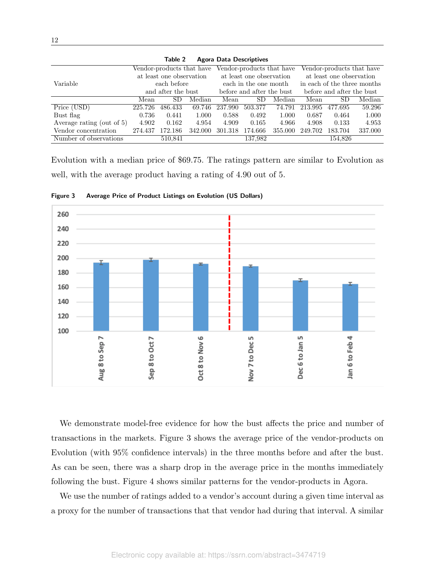| Table 2<br>Agora Data Descriptives              |                                                      |             |                       |                           |                           |         |                             |         |         |
|-------------------------------------------------|------------------------------------------------------|-------------|-----------------------|---------------------------|---------------------------|---------|-----------------------------|---------|---------|
|                                                 | Vendor-products that have                            |             |                       | Vendor-products that have |                           |         | Vendor-products that have   |         |         |
|                                                 | at least one observation<br>at least one observation |             |                       |                           | at least one observation  |         |                             |         |         |
| Variable                                        |                                                      | each before | each in the one month |                           |                           |         | in each of the three months |         |         |
| before and after the bust<br>and after the bust |                                                      |             |                       |                           | before and after the bust |         |                             |         |         |
|                                                 | Mean                                                 | SD.         | Median                | Mean                      | SD.                       | Median  | Mean                        | SD.     | Median  |
| Price (USD)                                     | 225.726                                              | 486.433     | 69.746                | 237.990                   | 503.377                   | 74.791  | 213.995                     | 477.695 | 59.296  |
| Bust flag                                       | 0.736                                                | 0.441       | 1.000                 | 0.588                     | 0.492                     | 1.000   | 0.687                       | 0.464   | 1.000   |
| Average rating (out of 5)                       | 4.902                                                | 0.162       | 4.954                 | 4.909                     | 0.165                     | 4.966   | 4.908                       | 0.133   | 4.953   |
| Vendor concentration                            | 274.437                                              | 172.186     | 342.000               | 301.318                   | 174.666                   | 355.000 | 249.702                     | 183.704 | 337.000 |
| Number of observations                          |                                                      | 510,841     |                       |                           | 137.982                   |         |                             | 154,826 |         |

Table 2 Agora Data Descriptives

Evolution with a median price of \$69.75. The ratings pattern are similar to Evolution as well, with the average product having a rating of 4.90 out of 5.



Figure 3 Average Price of Product Listings on Evolution (US Dollars)

We demonstrate model-free evidence for how the bust affects the price and number of transactions in the markets. Figure 3 shows the average price of the vendor-products on Evolution (with 95% confidence intervals) in the three months before and after the bust. As can be seen, there was a sharp drop in the average price in the months immediately following the bust. Figure 4 shows similar patterns for the vendor-products in Agora.

We use the number of ratings added to a vendor's account during a given time interval as a proxy for the number of transactions that that vendor had during that interval. A similar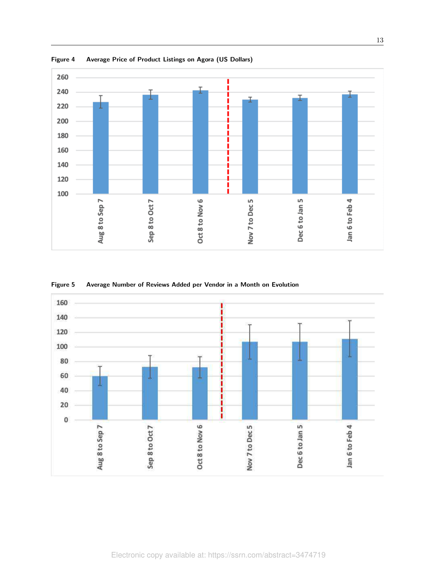

Figure 4 Average Price of Product Listings on Agora (US Dollars)



Figure 5 Average Number of Reviews Added per Vendor in a Month on Evolution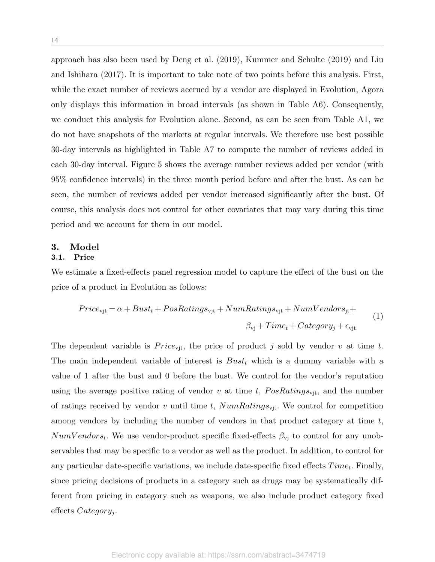approach has also been used by Deng et al. (2019), Kummer and Schulte (2019) and Liu and Ishihara (2017). It is important to take note of two points before this analysis. First, while the exact number of reviews accrued by a vendor are displayed in Evolution, Agora only displays this information in broad intervals (as shown in Table A6). Consequently, we conduct this analysis for Evolution alone. Second, as can be seen from Table A1, we do not have snapshots of the markets at regular intervals. We therefore use best possible 30-day intervals as highlighted in Table A7 to compute the number of reviews added in each 30-day interval. Figure 5 shows the average number reviews added per vendor (with 95% confidence intervals) in the three month period before and after the bust. As can be seen, the number of reviews added per vendor increased significantly after the bust. Of course, this analysis does not control for other covariates that may vary during this time period and we account for them in our model.

# 3. Model

## 3.1. Price

We estimate a fixed-effects panel regression model to capture the effect of the bust on the price of a product in Evolution as follows:

$$
Price_{\text{vjt}} = \alpha + Bust_t + PosRatings_{\text{vjt}} + NumRatings_{\text{vjt}} + NumVendors_{\text{jt}} + \n\beta_{\text{vj}} + Time_t + Category_j + \n\epsilon_{\text{vjt}} \n\tag{1}
$$

The dependent variable is  $Price_{\text{vit}}$ , the price of product j sold by vendor v at time t. The main independent variable of interest is  $Bust_t$  which is a dummy variable with a value of 1 after the bust and 0 before the bust. We control for the vendor's reputation using the average positive rating of vendor v at time t,  $PosRatings_{\text{vit}}$ , and the number of ratings received by vendor v until time t,  $NumRatings_{\text{vit}}$ . We control for competition among vendors by including the number of vendors in that product category at time t,  $NumV endors_t$ . We use vendor-product specific fixed-effects  $\beta_{\rm vj}$  to control for any unobservables that may be specific to a vendor as well as the product. In addition, to control for any particular date-specific variations, we include date-specific fixed effects  $Time_t$ . Finally, since pricing decisions of products in a category such as drugs may be systematically different from pricing in category such as weapons, we also include product category fixed effects Category<sub>j</sub>.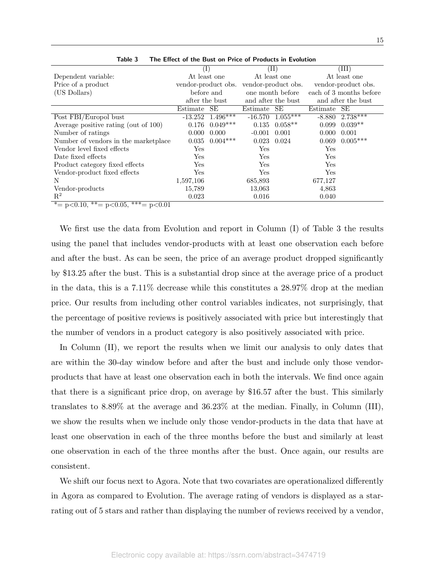|                                      | $(\mathrm{I})$      |              |                 | $(\mathrm{II})$     | (III)    |                         |  |
|--------------------------------------|---------------------|--------------|-----------------|---------------------|----------|-------------------------|--|
| Dependent variable:                  |                     | At least one |                 | At least one        |          | At least one            |  |
| Price of a product                   | vendor-product obs. |              |                 | vendor-product obs. |          | vendor-product obs.     |  |
| (US Dollars)                         | before and          |              |                 | one month before    |          | each of 3 months before |  |
|                                      | after the bust      |              |                 | and after the bust  |          | and after the bust      |  |
|                                      | Estimate            | SE           | Estimate        | <b>SE</b>           | Estimate | SЕ                      |  |
| Post FBI/Europol bust                | $-13.252$           | $1.496***$   | $-16.570$       | $1.055***$          | $-8.880$ | $2.738***$              |  |
| Average positive rating (out of 100) | 0.176               | $0.049***$   | 0.135           | $0.058**$           | 0.099    | $0.039**$               |  |
| Number of ratings                    | 0.000               | 0.000        | $-0.001$        | 0.001               | 0.000    | 0.001                   |  |
| Number of vendors in the marketplace | 0.035               | $0.004***$   | $0.023$ $0.024$ |                     | 0.069    | $0.005***$              |  |
| Vendor level fixed effects           | Yes                 |              | Yes             |                     | Yes      |                         |  |
| Date fixed effects                   | Yes                 |              | Yes             |                     | Yes      |                         |  |
| Product category fixed effects       | Yes                 |              | Yes             |                     | Yes      |                         |  |
| Vendor-product fixed effects         | Yes                 |              | Yes             |                     | Yes      |                         |  |
| N                                    | 1,597,106           |              | 685,893         |                     | 677,127  |                         |  |
| Vendor-products                      | 15,789              |              | 13,063          |                     | 4,863    |                         |  |
| $\mathbf{R}^2$                       | 0.023               |              | 0.016           |                     | 0.040    |                         |  |

Table 3 The Effect of the Bust on Price of Products in Evolution

\*= p<0.10, \*\*= p<0.05, \*\*\*= p<0.01

We first use the data from Evolution and report in Column (I) of Table 3 the results using the panel that includes vendor-products with at least one observation each before and after the bust. As can be seen, the price of an average product dropped significantly by \$13.25 after the bust. This is a substantial drop since at the average price of a product in the data, this is a 7.11% decrease while this constitutes a 28.97% drop at the median price. Our results from including other control variables indicates, not surprisingly, that the percentage of positive reviews is positively associated with price but interestingly that the number of vendors in a product category is also positively associated with price.

In Column (II), we report the results when we limit our analysis to only dates that are within the 30-day window before and after the bust and include only those vendorproducts that have at least one observation each in both the intervals. We find once again that there is a significant price drop, on average by \$16.57 after the bust. This similarly translates to 8.89% at the average and 36.23% at the median. Finally, in Column (III), we show the results when we include only those vendor-products in the data that have at least one observation in each of the three months before the bust and similarly at least one observation in each of the three months after the bust. Once again, our results are consistent.

We shift our focus next to Agora. Note that two covariates are operationalized differently in Agora as compared to Evolution. The average rating of vendors is displayed as a starrating out of 5 stars and rather than displaying the number of reviews received by a vendor,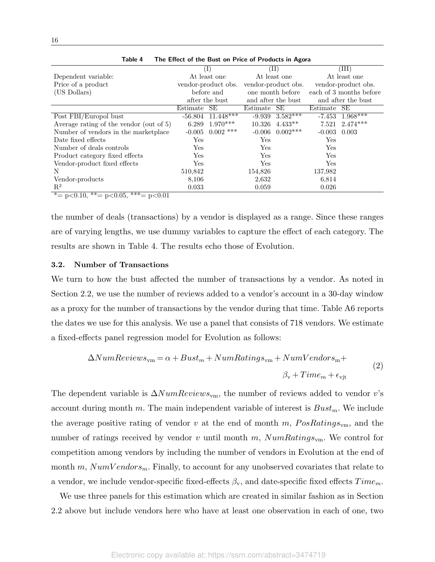|                                                     |                              | The Encer of the Base on Thee of Trouders in Agora |              |                         |             |                         |
|-----------------------------------------------------|------------------------------|----------------------------------------------------|--------------|-------------------------|-------------|-------------------------|
|                                                     | $\left( \frac{1}{2} \right)$ |                                                    |              | (II)                    |             | (III)                   |
| Dependent variable:                                 | At least one                 |                                                    | At least one |                         |             | At least one            |
| Price of a product                                  |                              | vendor-product obs.                                |              | vendor-product obs.     |             | vendor-product obs.     |
| (US Dollars)                                        |                              | before and                                         |              | one month before        |             | each of 3 months before |
|                                                     |                              | after the bust                                     |              | and after the bust      |             | and after the bust      |
|                                                     | Estimate SE                  |                                                    | Estimate     | SE                      | Estimate SE |                         |
| Post FBI/Europol bust                               | $-56.804$                    | $11.448***$                                        |              | $-9.939 \quad 3.582***$ |             | $-7.453$ $1.968***$     |
| Average rating of the vendor (out of 5)             | 6.289                        | $1.970***$                                         | 10.326       | $4.433**$               | 7.521       | $2.474***$              |
| Number of vendors in the market place               | $-0.005$                     | $0.002$ ***                                        | $-0.006$     | $0.002***$              | $-0.003$    | 0.003                   |
| Date fixed effects                                  | Yes                          |                                                    | Yes          |                         | Yes         |                         |
| Number of deals controls                            | Yes                          |                                                    | Yes          |                         | Yes         |                         |
| Product category fixed effects                      | Yes                          |                                                    | Yes          |                         | Yes         |                         |
| Vendor-product fixed effects                        | Yes                          |                                                    | Yes          |                         | Yes         |                         |
| N                                                   | 510,842                      |                                                    | 154,826      |                         | 137,982     |                         |
| Vendor-products                                     | 8,106                        |                                                    | 2,632        |                         | 6,814       |                         |
| $\mathbf{R}^2$                                      | 0.033                        |                                                    | 0.059        |                         | 0.026       |                         |
| * = $p < 0.10$ , ** = $p < 0.05$ , *** = $p < 0.01$ |                              |                                                    |              |                         |             |                         |

Table 4 The Effect of the Bust on Price of Products in Agora

the number of deals (transactions) by a vendor is displayed as a range. Since these ranges are of varying lengths, we use dummy variables to capture the effect of each category. The results are shown in Table 4. The results echo those of Evolution.

#### 3.2. Number of Transactions

We turn to how the bust affected the number of transactions by a vendor. As noted in Section 2.2, we use the number of reviews added to a vendor's account in a 30-day window as a proxy for the number of transactions by the vendor during that time. Table A6 reports the dates we use for this analysis. We use a panel that consists of 718 vendors. We estimate a fixed-effects panel regression model for Evolution as follows:

$$
\Delta NumReviews_{\rm vn} = \alpha + Bust_m + NumRatings_{\rm vn} + NumVendors_{\rm rn} +
$$
  

$$
\beta_{\rm v} + Time_m + \epsilon_{\rm vjt}
$$
 (2)

The dependent variable is  $\Delta NumReviews_{vm}$ , the number of reviews added to vendor v's account during month m. The main independent variable of interest is  $Bust_m$ . We include the average positive rating of vendor v at the end of month m,  $PosRatings_{\rm ym}$ , and the number of ratings received by vendor v until month m,  $NumRatings_{\rm ym}$ . We control for competition among vendors by including the number of vendors in Evolution at the end of month m,  $NumVendors<sub>m</sub>$ . Finally, to account for any unobserved covariates that relate to a vendor, we include vendor-specific fixed-effects  $\beta_{v}$ , and date-specific fixed effects  $Time_{m}$ .

We use three panels for this estimation which are created in similar fashion as in Section 2.2 above but include vendors here who have at least one observation in each of one, two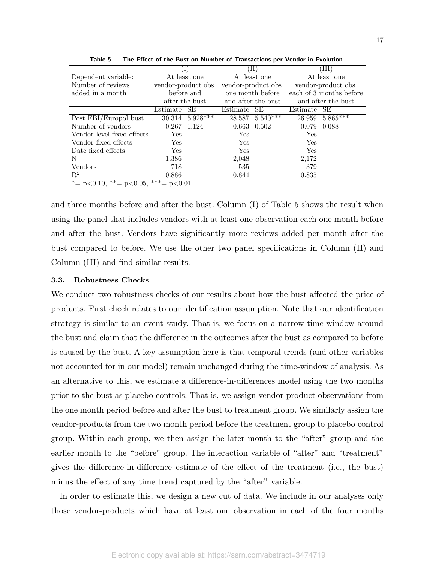|                                                        | $(\mathrm{I})$      |                 |                    | $(\bar{\Pi})$       | (III)               |                         |  |
|--------------------------------------------------------|---------------------|-----------------|--------------------|---------------------|---------------------|-------------------------|--|
| Dependent variable:                                    |                     | At least one    |                    | At least one        | At least one        |                         |  |
| Number of reviews                                      | vendor-product obs. |                 |                    | vendor-product obs. | vendor-product obs. |                         |  |
| added in a month                                       |                     | before and      |                    | one month before    |                     | each of 3 months before |  |
|                                                        |                     | after the bust  | and after the bust |                     |                     | and after the bust      |  |
|                                                        | Estimate            | SE              | Estimate           | <b>SE</b>           | Estimate            | SE                      |  |
| Post FBI/Europol bust                                  |                     | 30.314 5.928*** |                    | $28.587$ 5.540***   |                     | $26.959\quad 5.865***$  |  |
| Number of vendors                                      | 0.267 1.124         |                 | $0.663$ $0.502$    |                     | $-0.079$            | 0.088                   |  |
| Vendor level fixed effects                             | Yes                 |                 | Yes                |                     | Yes                 |                         |  |
| Vendor fixed effects                                   | Yes                 |                 | Yes                |                     | Yes                 |                         |  |
| Date fixed effects                                     | Yes                 |                 | Yes                |                     | Yes                 |                         |  |
| N                                                      | 1,386               |                 | 2,048              |                     | 2,172               |                         |  |
| Vendors                                                | 718                 |                 | 535                |                     | 379                 |                         |  |
| $R^2$                                                  | 0.886               |                 | 0.844              |                     | 0.835               |                         |  |
| * = $p < 0.10$ , * * = $p < 0.05$ , * * * = $p < 0.01$ |                     |                 |                    |                     |                     |                         |  |

Table 5 The Effect of the Bust on Number of Transactions per Vendor in Evolution

and three months before and after the bust. Column (I) of Table 5 shows the result when using the panel that includes vendors with at least one observation each one month before and after the bust. Vendors have significantly more reviews added per month after the bust compared to before. We use the other two panel specifications in Column (II) and Column (III) and find similar results.

#### 3.3. Robustness Checks

We conduct two robustness checks of our results about how the bust affected the price of products. First check relates to our identification assumption. Note that our identification strategy is similar to an event study. That is, we focus on a narrow time-window around the bust and claim that the difference in the outcomes after the bust as compared to before is caused by the bust. A key assumption here is that temporal trends (and other variables not accounted for in our model) remain unchanged during the time-window of analysis. As an alternative to this, we estimate a difference-in-differences model using the two months prior to the bust as placebo controls. That is, we assign vendor-product observations from the one month period before and after the bust to treatment group. We similarly assign the vendor-products from the two month period before the treatment group to placebo control group. Within each group, we then assign the later month to the "after" group and the earlier month to the "before" group. The interaction variable of "after" and "treatment" gives the difference-in-difference estimate of the effect of the treatment (i.e., the bust) minus the effect of any time trend captured by the "after" variable.

In order to estimate this, we design a new cut of data. We include in our analyses only those vendor-products which have at least one observation in each of the four months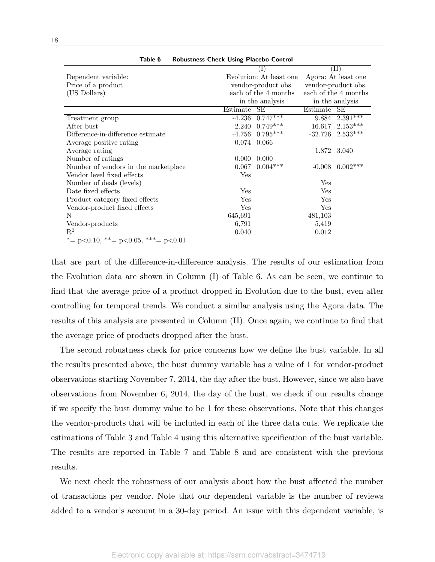| <b>RODGSCHCSS CHCCK OSHIE FRECOO CONCION</b>                               |                     |                         |                     |                      |  |
|----------------------------------------------------------------------------|---------------------|-------------------------|---------------------|----------------------|--|
|                                                                            |                     | $\mathbf{I}$            | $(\mathrm{II})$     |                      |  |
| Dependent variable:                                                        |                     | Evolution: At least one | Agora: At least one |                      |  |
| Price of a product                                                         | vendor-product obs. |                         |                     | vendor-product obs.  |  |
| (US Dollars)                                                               |                     | each of the 4 months    |                     | each of the 4 months |  |
|                                                                            |                     | in the analysis         |                     | in the analysis      |  |
|                                                                            | Estimate            | SЕ                      | Estimate            | SЕ                   |  |
| Treatment group                                                            | $-4.236$            | $0.747***$              | 9.884               | $2.391***$           |  |
| After bust                                                                 | 2.240               | $0.749***$              | 16.617              | $2.153***$           |  |
| Difference-in-difference estimate                                          | $-4.756$            | $0.795***$              | $-32.726$           | $2.533***$           |  |
| Average positive rating                                                    | 0.074               | 0.066                   |                     |                      |  |
| Average rating                                                             |                     |                         |                     | 1.872 3.040          |  |
| Number of ratings                                                          | 0.000               | 0.000                   |                     |                      |  |
| Number of vendors in the marketplace                                       | 0.067               | $0.004***$              | $-0.008$            | $0.002***$           |  |
| Vendor level fixed effects                                                 | Yes                 |                         |                     |                      |  |
| Number of deals (levels)                                                   |                     |                         | Yes                 |                      |  |
| Date fixed effects                                                         | Yes                 |                         | Yes                 |                      |  |
| Product category fixed effects                                             | Yes                 |                         | Yes                 |                      |  |
| Vendor-product fixed effects                                               | Yes                 |                         | Yes                 |                      |  |
| N                                                                          | 645,691             |                         | 481,103             |                      |  |
| Vendor-products                                                            | 6,791               |                         | 5,419               |                      |  |
| $R^2$                                                                      | 0.040               |                         | 0.012               |                      |  |
| $*$ $ n$ $\geq$ 0.10 $*$ $*$ $ n$ $\geq$ 0.05 $*$ $*$ $*$ $ n$ $\geq$ 0.01 |                     |                         |                     |                      |  |

Table 6 Robustness Check Using Placebo Control

 $p \leq 0.10$ ,  $p \leq 0.05$ ,  $p \leq 0.01$ 

that are part of the difference-in-difference analysis. The results of our estimation from the Evolution data are shown in Column (I) of Table 6. As can be seen, we continue to find that the average price of a product dropped in Evolution due to the bust, even after controlling for temporal trends. We conduct a similar analysis using the Agora data. The results of this analysis are presented in Column (II). Once again, we continue to find that the average price of products dropped after the bust.

The second robustness check for price concerns how we define the bust variable. In all the results presented above, the bust dummy variable has a value of 1 for vendor-product observations starting November 7, 2014, the day after the bust. However, since we also have observations from November 6, 2014, the day of the bust, we check if our results change if we specify the bust dummy value to be 1 for these observations. Note that this changes the vendor-products that will be included in each of the three data cuts. We replicate the estimations of Table 3 and Table 4 using this alternative specification of the bust variable. The results are reported in Table 7 and Table 8 and are consistent with the previous results.

We next check the robustness of our analysis about how the bust affected the number of transactions per vendor. Note that our dependent variable is the number of reviews added to a vendor's account in a 30-day period. An issue with this dependent variable, is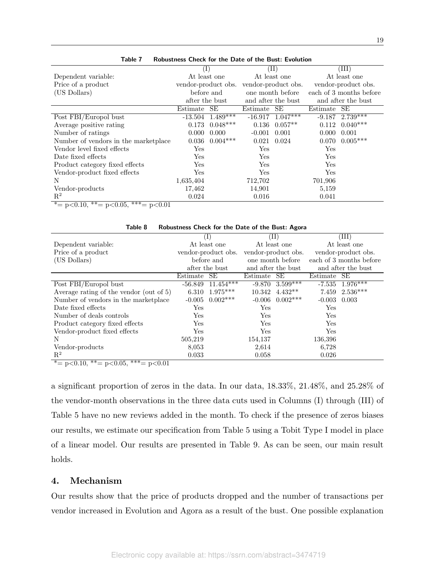|                                      | $(\mathrm{I})$      |                    |            | $(\mathrm{II})$      | (III)      |                         |  |
|--------------------------------------|---------------------|--------------------|------------|----------------------|------------|-------------------------|--|
| Dependent variable:                  |                     | At least one       |            | At least one         |            | At least one            |  |
| Price of a product                   | vendor-product obs. |                    |            | vendor-product obs.  |            | vendor-product obs.     |  |
| (US Dollars)                         |                     | before and         |            | one month before     |            | each of 3 months before |  |
|                                      |                     | after the bust     |            | and after the bust   |            | and after the bust      |  |
|                                      | Estimate            | SE                 | Estimate   | SE                   | Estimate   | <b>SE</b>               |  |
| Post FBI/Europol bust                | $-13.504$           | $1.489***$         |            | $-16.917$ $1.047***$ | $-9.187$   | $2.739***$              |  |
| Average positive rating              |                     | $0.173$ $0.048***$ |            | $0.136$ $0.057**$    | 0.112      | $0.040***$              |  |
| Number of ratings                    | 0.000               | 0.000              | $-0.001$   | 0.001                | 0.000      | 0.001                   |  |
| Number of vendors in the marketplace | 0.036               | $0.004***$         | 0.021      | 0.024                | 0.070      | $0.005***$              |  |
| Vendor level fixed effects           | Yes                 |                    | Yes        |                      | <b>Yes</b> |                         |  |
| Date fixed effects                   | Yes                 |                    | Yes        |                      | <b>Yes</b> |                         |  |
| Product category fixed effects       | Yes                 |                    | <b>Yes</b> |                      | Yes        |                         |  |
| Vendor-product fixed effects         | Yes                 |                    | Yes        |                      | Yes        |                         |  |
| N                                    | 1,635,404           |                    | 712,702    |                      | 701,906    |                         |  |
| Vendor-products                      | 17,462              |                    | 14,901     |                      | 5,159      |                         |  |
| $\mathbf{R}^2$                       | 0.024               |                    | 0.016      |                      | 0.041      |                         |  |

Table 7 Robustness Check for the Date of the Bust: Evolution

\* = p<0.10, \*\* = p<0.05, \*\* \* = p<0.01

| Table 8<br>Robustness Check for the Date of the Bust: Agora                                                                                                  |                |                     |          |                     |                    |                                   |  |  |
|--------------------------------------------------------------------------------------------------------------------------------------------------------------|----------------|---------------------|----------|---------------------|--------------------|-----------------------------------|--|--|
|                                                                                                                                                              | $_{\rm (I)}$   |                     | TI)      |                     | (III)              |                                   |  |  |
| Dependent variable:                                                                                                                                          |                | At least one        |          | At least one        |                    | At least one                      |  |  |
| Price of a product                                                                                                                                           |                | vendor-product obs. |          | vendor-product obs. |                    | vendor-product obs.               |  |  |
| (US Dollars)                                                                                                                                                 |                | before and          |          | one month before    |                    | each of 3 months before           |  |  |
|                                                                                                                                                              | after the bust |                     |          | and after the bust  | and after the bust |                                   |  |  |
|                                                                                                                                                              | Estimate       | SE                  | Estimate | SE                  | Estimate SE        |                                   |  |  |
| Post FBI/Europol bust                                                                                                                                        | $-56.849$      | $11.454***$         |          | $-9.870$ 3.599***   |                    | $-7.535\quad \overline{1.976***}$ |  |  |
| Average rating of the vendor (out of 5)                                                                                                                      | 6.310          | $1.975***$          | 10.342   | $4.432**$           | 7.459              | $2.536***$                        |  |  |
| Number of vendors in the market place                                                                                                                        | $-0.005$       | $0.002***$          |          | $-0.006$ $0.002***$ | $-0.003$           | 0.003                             |  |  |
| Date fixed effects                                                                                                                                           | Yes            |                     | Yes      |                     | Yes                |                                   |  |  |
| Number of deals controls                                                                                                                                     | Yes            |                     | Yes      |                     | Yes                |                                   |  |  |
| Product category fixed effects                                                                                                                               | Yes            |                     | Yes      |                     | Yes                |                                   |  |  |
| Vendor-product fixed effects                                                                                                                                 | $_{\rm Yes}$   |                     | Yes      |                     | Yes                |                                   |  |  |
| N                                                                                                                                                            | 505,219        |                     | 154,137  |                     | 136,396            |                                   |  |  |
| Vendor-products                                                                                                                                              | 8,053          |                     | 2,614    |                     | 6,728              |                                   |  |  |
| $\mathbf{R}^2$<br>$\overline{\phantom{a}}$<br>$\sim$ $\sim$ $\sim$ $\sim$ $\sim$ $\sim$ $\sim$<br>$\sim$ $\sim$ $\sim$ $\sim$ $\sim$<br>$\sim$ $\sim$ $\sim$ | 0.033          |                     | 0.058    |                     | 0.026              |                                   |  |  |

\*=  $p<0.10$ , \*\*=  $p<0.05$ , \*\*\*=  $p<0.01$ 

a significant proportion of zeros in the data. In our data, 18.33%, 21.48%, and 25.28% of the vendor-month observations in the three data cuts used in Columns (I) through (III) of Table 5 have no new reviews added in the month. To check if the presence of zeros biases our results, we estimate our specification from Table 5 using a Tobit Type I model in place of a linear model. Our results are presented in Table 9. As can be seen, our main result holds.

# 4. Mechanism

Our results show that the price of products dropped and the number of transactions per vendor increased in Evolution and Agora as a result of the bust. One possible explanation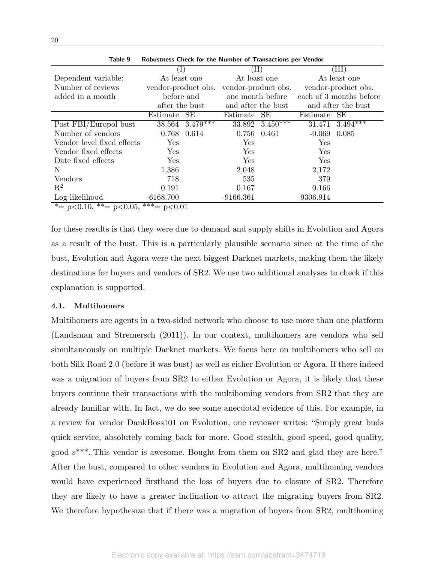| Table 9                           | Robustness Check for the Number of Transactions per Vendor |                |                     |                              |              |                         |  |  |  |  |
|-----------------------------------|------------------------------------------------------------|----------------|---------------------|------------------------------|--------------|-------------------------|--|--|--|--|
|                                   |                                                            | $(\mathrm{I})$ |                     | $(\mathrm{II})$              |              | (III)                   |  |  |  |  |
| Dependent variable:               | At least one                                               |                | At least one        |                              | At least one |                         |  |  |  |  |
| Number of reviews                 | vendor-product obs.                                        |                | vendor-product obs. |                              |              | vendor-product obs.     |  |  |  |  |
| added in a month                  | before and                                                 |                | one month before    |                              |              | each of 3 months before |  |  |  |  |
|                                   | after the bust                                             |                | and after the bust  |                              |              | and after the bust      |  |  |  |  |
|                                   | Estimate                                                   | SE             | Estimate            | SE                           | Estimate     | SE                      |  |  |  |  |
| Post FBI/Europol bust             | 38.564                                                     | $3.479***$     |                     | 33.892 $\overline{3.450***}$ | 31.471       | $3.494***$              |  |  |  |  |
| Number of vendors                 |                                                            | 0.768 0.614    | 0.756               | 0.461                        | $-0.069$     | 0.085                   |  |  |  |  |
| Vendor level fixed effects        | Yes                                                        |                | Yes                 |                              | Yes          |                         |  |  |  |  |
| Vendor fixed effects              | Yes                                                        |                | Yes                 |                              | Yes          |                         |  |  |  |  |
| Date fixed effects                | Yes                                                        |                | Yes                 |                              | Yes          |                         |  |  |  |  |
| N                                 | 1,386                                                      |                | 2,048               |                              | 2,172        |                         |  |  |  |  |
| Vendors                           | 718                                                        |                | 535                 |                              | 379          |                         |  |  |  |  |
| $\mathbf{R}^2$                    | 0.191                                                      |                | 0.167               |                              | 0.166        |                         |  |  |  |  |
| Log likelihood                    | $-6168.700$                                                |                | $-9166.361$         |                              | $-9306.914$  |                         |  |  |  |  |
| $* = p < 0.10$ , $* = p < 0.05$ , | $\overline{***}$ p<0.01                                    |                |                     |                              |              |                         |  |  |  |  |

for these results is that they were due to demand and supply shifts in Evolution and Agora as a result of the bust. This is a particularly plausible scenario since at the time of the bust, Evolution and Agora were the next biggest Darknet markets, making them the likely destinations for buyers and vendors of SR2. We use two additional analyses to check if this explanation is supported.

## 4.1. Multihomers

Multihomers are agents in a two-sided network who choose to use more than one platform (Landsman and Stremersch (2011)). In our context, multihomers are vendors who sell simultaneously on multiple Darknet markets. We focus here on multihomers who sell on both Silk Road 2.0 (before it was bust) as well as either Evolution or Agora. If there indeed was a migration of buyers from SR2 to either Evolution or Agora, it is likely that these buyers continue their transactions with the multihoming vendors from SR2 that they are already familiar with. In fact, we do see some anecdotal evidence of this. For example, in a review for vendor DankBoss101 on Evolution, one reviewer writes: "Simply great buds quick service, absolutely coming back for more. Good stealth, good speed, good quality, good s\*\*\*..This vendor is awesome. Bought from them on SR2 and glad they are here." After the bust, compared to other vendors in Evolution and Agora, multihoming vendors would have experienced firsthand the loss of buyers due to closure of SR2. Therefore they are likely to have a greater inclination to attract the migrating buyers from SR2. We therefore hypothesize that if there was a migration of buyers from SR2, multihoming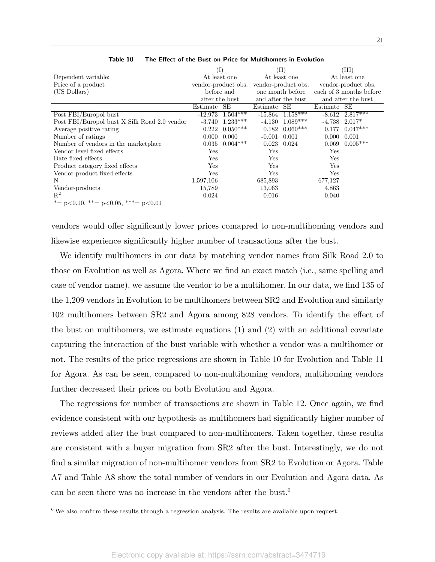|                                                        | $^{(1)}$            |                      |                     | (II)                             | (III)    |                         |
|--------------------------------------------------------|---------------------|----------------------|---------------------|----------------------------------|----------|-------------------------|
| Dependent variable:                                    |                     | At least one         |                     | At least one                     |          | At least one            |
| Price of a product                                     | vendor-product obs. |                      | vendor-product obs. |                                  |          | vendor-product obs.     |
| (US Dollars)                                           | before and          |                      |                     | one month before                 |          | each of 3 months before |
|                                                        | after the bust      |                      |                     | and after the bust               |          | and after the bust      |
|                                                        | Estimate            | <b>SE</b>            | Estimate            | SE                               | Estimate | SE                      |
| Post FBI/Europol bust                                  |                     | $-12.973$ $1.504***$ |                     | $-15.864$ $\overline{1.158}$ *** | $-8.612$ | $2.817***$              |
| Post FBI/Europol bust X Silk Road 2.0 vendor           | $-3.740$            | $1.233***$           | $-4.130$            | $1.089***$                       | $-4.738$ | $2.017*$                |
| Average positive rating                                | 0.222               | $0.050***$           | 0.182               | $0.060***$                       | 0.177    | $0.047***$              |
| Number of ratings                                      | 0.000               | 0.000                | $-0.001$            | 0.001                            | 0.000    | 0.001                   |
| Number of vendors in the marketplace                   | 0.035               | $0.004***$           | $0.023$ $0.024$     |                                  | 0.069    | $0.005***$              |
| Vendor level fixed effects                             | Yes                 |                      | Yes                 |                                  | Yes      |                         |
| Date fixed effects                                     | Yes                 |                      | Yes                 |                                  | Yes      |                         |
| Product category fixed effects                         | Yes                 |                      | Yes                 |                                  | Yes      |                         |
| Vendor-product fixed effects                           | Yes                 |                      | Yes                 |                                  | Yes      |                         |
| N                                                      | 1,597,106           |                      | 685,893             |                                  | 677,127  |                         |
| Vendor-products                                        | 15,789              |                      | 13,063              |                                  | 4,863    |                         |
| $\mathbf{R}^2$                                         | 0.024               |                      | 0.016               |                                  | 0.040    |                         |
| * = $p < 0.10$ , * * = $p < 0.05$ , * * * = $p < 0.01$ |                     |                      |                     |                                  |          |                         |

Table 10 The Effect of the Bust on Price for Multihomers in Evolution

vendors would offer significantly lower prices comapred to non-multihoming vendors and likewise experience significantly higher number of transactions after the bust.

We identify multihomers in our data by matching vendor names from Silk Road 2.0 to those on Evolution as well as Agora. Where we find an exact match (i.e., same spelling and case of vendor name), we assume the vendor to be a multihomer. In our data, we find 135 of the 1,209 vendors in Evolution to be multihomers between SR2 and Evolution and similarly 102 multihomers between SR2 and Agora among 828 vendors. To identify the effect of the bust on multihomers, we estimate equations (1) and (2) with an additional covariate capturing the interaction of the bust variable with whether a vendor was a multihomer or not. The results of the price regressions are shown in Table 10 for Evolution and Table 11 for Agora. As can be seen, compared to non-multihoming vendors, multihoming vendors further decreased their prices on both Evolution and Agora.

The regressions for number of transactions are shown in Table 12. Once again, we find evidence consistent with our hypothesis as multihomers had significantly higher number of reviews added after the bust compared to non-multihomers. Taken together, these results are consistent with a buyer migration from SR2 after the bust. Interestingly, we do not find a similar migration of non-multihomer vendors from SR2 to Evolution or Agora. Table A7 and Table A8 show the total number of vendors in our Evolution and Agora data. As can be seen there was no increase in the vendors after the bust.<sup>6</sup>

 $6$  We also confirm these results through a regression analysis. The results are available upon request.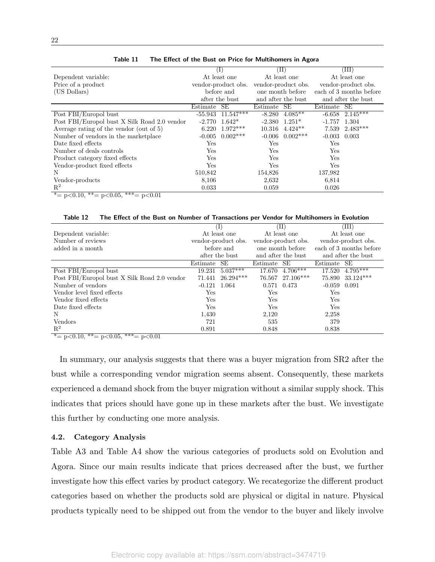|                                                        |          | (I)                   |             | (II)                |          | (III)                   |
|--------------------------------------------------------|----------|-----------------------|-------------|---------------------|----------|-------------------------|
| Dependent variable:                                    |          | At least one          |             | At least one        |          | At least one            |
| Price of a product                                     |          | vendor-product obs.   |             | vendor-product obs. |          | vendor-product obs.     |
| (US Dollars)                                           |          | before and            |             | one month before    |          | each of 3 months before |
|                                                        |          | after the bust        |             | and after the bust  |          | and after the bust      |
|                                                        | Estimate | SE                    | Estimate SE |                     | Estimate | SE                      |
| Post FBI/Europol bust                                  |          | $-55.943$ $11.547***$ | $-8.280$    | $4.085**$           | $-6.658$ | $2.145***$              |
| Post FBI/Europol bust X Silk Road 2.0 vendor           |          | $-2.770$ $1.642*$     |             | $-2.380$ $1.251*$   | $-1.757$ | 1.304                   |
| Average rating of the vendor (out of 5)                | 6.220    | $1.972***$            |             | $10.316$ $4.424**$  | 7.539    | $2.483***$              |
| Number of vendors in the marketplace                   | $-0.005$ | $0.002***$            |             | $-0.006$ $0.002***$ | $-0.003$ | 0.003                   |
| Date fixed effects                                     | Yes      |                       | Yes         |                     | Yes      |                         |
| Number of deals controls                               | Yes      |                       | Yes         |                     | Yes      |                         |
| Product category fixed effects                         | Yes      |                       | Yes         |                     | Yes      |                         |
| Vendor-product fixed effects                           | Yes      |                       | Yes         |                     | Yes      |                         |
| N                                                      | 510,842  |                       | 154,826     |                     | 137,982  |                         |
| Vendor-products                                        | 8,106    |                       | 2,632       |                     | 6,814    |                         |
| $\mathbf{R}^2$                                         | 0.033    |                       | 0.059       |                     | 0.026    |                         |
| * = $p < 0.10$ , * * = $p < 0.05$ , * * * = $p < 0.01$ |          |                       |             |                     |          |                         |

| Table 11 |  |  |  | The Effect of the Bust on Price for Multihomers in Agora |  |
|----------|--|--|--|----------------------------------------------------------|--|
|----------|--|--|--|----------------------------------------------------------|--|

Table 12 The Effect of the Bust on Number of Transactions per Vendor for Multihomers in Evolution

|                                              |          | $(\mathrm{I})$      |              | (II)                |                  | ΊIΙ)                    |
|----------------------------------------------|----------|---------------------|--------------|---------------------|------------------|-------------------------|
| Dependent variable:                          |          | At least one        |              | At least one        |                  | At least one            |
| Number of reviews                            |          | vendor-product obs. |              | vendor-product obs. |                  | vendor-product obs.     |
| added in a month                             |          | before and          |              | one month before    |                  | each of 3 months before |
|                                              |          | after the bust      |              | and after the bust  |                  | and after the bust      |
|                                              | Estimate | SE                  | Estimate SE  |                     | Estimate SE      |                         |
| Post FBI/Europol bust                        | 19.231   | $5.037***$          |              | 17.670 4.706***     |                  | 17.520 4.795***         |
| Post FBI/Europol bust X Silk Road 2.0 vendor | 71.441   | $26.294***$         |              | 76.567 27.106***    |                  | 75.890 33.124***        |
| Number of vendors                            | $-0.121$ | 1.064               | 0.571 0.473  |                     | $-0.059$ $0.091$ |                         |
| Vendor level fixed effects                   | Yes      |                     | $_{\rm Yes}$ |                     | $_{\rm Yes}$     |                         |
| Vendor fixed effects                         | Yes.     |                     | Yes          |                     | Yes              |                         |
| Date fixed effects                           | Yes      |                     | Yes          |                     | $_{\rm Yes}$     |                         |
| N                                            | 1.430    |                     | 2,120        |                     | 2,258            |                         |
| Vendors                                      | 721      |                     | 535          |                     | 379              |                         |
| $R^2$                                        | 0.891    |                     | 0.848        |                     | 0.838            |                         |

 $* = p < 0.10, ** = p < 0.05, ** = p < 0.01$ 

In summary, our analysis suggests that there was a buyer migration from SR2 after the bust while a corresponding vendor migration seems absent. Consequently, these markets experienced a demand shock from the buyer migration without a similar supply shock. This indicates that prices should have gone up in these markets after the bust. We investigate this further by conducting one more analysis.

## 4.2. Category Analysis

Table A3 and Table A4 show the various categories of products sold on Evolution and Agora. Since our main results indicate that prices decreased after the bust, we further investigate how this effect varies by product category. We recategorize the different product categories based on whether the products sold are physical or digital in nature. Physical products typically need to be shipped out from the vendor to the buyer and likely involve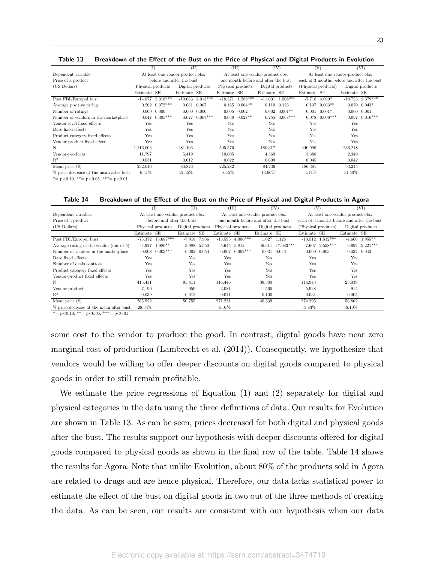|  | Table 13 Breakdown of the Effect of the Bust on the Price of Physical and Digital Products in Evolution |  |  |  |  |
|--|---------------------------------------------------------------------------------------------------------|--|--|--|--|
|--|---------------------------------------------------------------------------------------------------------|--|--|--|--|

|                                                                                                          | (I)               |                           | (II)                             |                    |             | (III)                               |             | (IV)                  | (V)                                        |            |                     | (VI)               |
|----------------------------------------------------------------------------------------------------------|-------------------|---------------------------|----------------------------------|--------------------|-------------|-------------------------------------|-------------|-----------------------|--------------------------------------------|------------|---------------------|--------------------|
| Dependent variable:                                                                                      |                   |                           | At least one vendor-product obs. |                    |             | At least one vendor-product obs.    |             |                       | At least one vendor-product obs.           |            |                     |                    |
| Price of a product                                                                                       |                   | before and after the bust |                                  |                    |             | one month before and after the bust |             |                       | each of 3 months before and after the bust |            |                     |                    |
| (US Dollars)                                                                                             | Physical products |                           | Digital products                 |                    |             | Physical products                   |             | Digital products      | (Physical products)                        |            | Digital products    |                    |
|                                                                                                          | Estimate SE       |                           | Estimate SE                      |                    | Estimate SE |                                     | Estimate SE |                       | Estimate SE                                |            | Estimate SE         |                    |
| Post FBI/Europol bust                                                                                    | $-14.877$         | $2.018***$                |                                  | $-10.063$ 2.013*** |             | $-18.371$ $1.289***$                |             | $-11.001$ $1.508***$  | $-7.718$                                   | $4.090*$   |                     | $-10.723$ 2.379*** |
| Average positive rating                                                                                  | 0.262             | $0.072***$                | 0.061                            | 0.067              |             | $0.165$ $0.064**$                   |             | $0.110 \quad 0.126$   | 0.137                                      | $0.063**$  |                     | $0.070$ $0.043*$   |
| Number of ratings                                                                                        | 0.000             | 0.000                     | 0.000                            | 0.000              | $-0.005$    | 0.002                               |             | $0.002 \quad 0.001**$ | $-0.001$                                   | $0.001*$   | $0.000 \quad 0.001$ |                    |
| Number of vendors in the marketplace                                                                     | 0.047             | $0.005***$                | 0.027                            | $0.007***$         | $-0.038$    | $0.027**$                           | 0.255       | $0.068***$            | 0.078                                      | $0.006***$ |                     | $0.097$ $0.016***$ |
| Vendor level fixed effects                                                                               | Yes               |                           | Yes                              |                    | Yes         |                                     | Yes         |                       | Yes                                        |            | Yes                 |                    |
| Date fixed effects                                                                                       | Yes               |                           | Yes                              |                    | Yes         |                                     | Yes         |                       | Yes                                        |            | Yes                 |                    |
| Product category fixed effects                                                                           | Yes               |                           | Yes                              |                    | Yes         |                                     | Yes         |                       | Yes                                        |            | Yes                 |                    |
| Vendor-product fixed effects                                                                             | Yes               |                           | Yes                              |                    | Yes         |                                     | Yes         |                       | Yes                                        |            | Yes                 |                    |
| N                                                                                                        | 1,116,003         |                           | 481,103                          |                    | 505,576     |                                     | 180,317     |                       | 440,909                                    |            | 236,218             |                    |
| Vendor-products                                                                                          | 11,797            |                           | 5,419                            |                    | 10,005      |                                     | 4,369       |                       | 3.388                                      |            | 2,340               |                    |
| $R^2$                                                                                                    | 0.031             |                           | 0.012                            |                    | 0.022       |                                     | 0.009       |                       | 0.045                                      |            | 0.042               |                    |
| Mean price $(\$)$                                                                                        | 232.016           |                           | 80.826                           |                    | 225.282     |                                     | 84.236      |                       | 186.381                                    |            | 93.245              |                    |
| % price decrease at the mean after bust<br>$\Phi$ and $\Phi$<br>الله الله العرض بن الم<br><b>COMPANY</b> | $-6.41\%$         |                           | $-12.45%$                        |                    | $-8.15%$    |                                     | $-13.06\%$  |                       | $-4.14%$                                   |            | $-11.50\%$          |                    |

 $* = p<0.10, ** = p<0.05, ** = p<0.01$ 

Table 14 Breakdown of the Effect of the Bust on the Price of Physical and Digital Products in Agora

|                                         |             | (I)                              | (II)                     |                     |             | (III)                |                                     | (IV)      | (V)                 |                                            |                  | (VI)                   |
|-----------------------------------------|-------------|----------------------------------|--------------------------|---------------------|-------------|----------------------|-------------------------------------|-----------|---------------------|--------------------------------------------|------------------|------------------------|
| Dependent variable:                     |             | At least one vendor-product obs. |                          |                     |             |                      | At least one vendor-product obs.    |           |                     | At least one vendor-product obs.           |                  |                        |
| Price of a product                      |             | before and after the bust        |                          |                     |             |                      | one month before and after the bust |           |                     | each of 3 months before and after the bust |                  |                        |
| (US Dollars)                            |             | Physical products                | Digital products         |                     |             | Physical products    | Digital products                    |           | (Physical products) |                                            | Digital products |                        |
|                                         | Estimate SE |                                  | Estimate SE              |                     | Estimate SE |                      | Estimate SE                         |           | Estimate SE         |                                            | Estimate SE      |                        |
| Post FBI/Europol bust                   | -75.372     | $15.687***$                      | $-7.918$ $7.956$         |                     |             | $-13.595$ $4.006***$ | 1.027                               | 1.128     |                     | $-10.512$ $1.532***$                       |                  | $-4.606$ 1.955**       |
| Average rating of the vendor (out of 5) | 4.927       | $1.980**$                        |                          | 3.988 5.350         |             | 5.645 3.812          | 46.611                              | 17.683*** | 7.607               | $2.538***$                                 |                  | $9.692 \quad 3.221***$ |
| Number of vendors in the marketplace    | $-0.008$    | $0.003***$                       |                          | $0.002 \quad 0.054$ |             | $-0.007$ $0.002***$  | $-0.031$                            | 0.046     | 0.000               | 0.003                                      | $-0.032$ $0.042$ |                        |
| Date fixed effects                      | Yes         |                                  | Yes                      |                     | Yes         |                      | Yes                                 |           | Yes                 |                                            | Yes              |                        |
| Number of deals controls                | Yes         |                                  | Yes                      |                     | Yes         |                      | Yes                                 |           | Yes                 |                                            | Yes              |                        |
| Product category fixed effects          | Yes         |                                  | Yes                      |                     | Yes         |                      | Yes                                 |           | Yes                 |                                            | Yes              |                        |
| Vendor-product fixed effects            | Yes         |                                  | Yes                      |                     | Yes         |                      | Yes                                 |           | Yes                 |                                            | Yes              |                        |
| Ν                                       | 415,431     |                                  | 95,411                   |                     | 116,446     |                      | 38,380                              |           | 114,943             |                                            | 23,039           |                        |
| Vendor-products                         | 7.190       |                                  | 959                      |                     | 2,081       |                      | 560                                 |           | 5,928               |                                            | 914              |                        |
| $\mathbb{R}^2$                          | 0.039       |                                  | 0.012                    |                     | 0.071       |                      | 0.100                               |           | 0.031               |                                            | 0.005            |                        |
| Mean price $(\$)$                       | 265.922     |                                  | 50.755                   |                     | 271.231     |                      | 40.339                              |           | 274.295             |                                            | 56.862           |                        |
| % price decrease at the mean after bust | $-28.34\%$  |                                  | $\overline{\phantom{a}}$ |                     | $-5.01\%$   |                      |                                     |           | $-3.83\%$           |                                            | $-8.10\%$        |                        |

 $* = p < 0.10, ** = p < 0.05, ** = p < 0.01$ 

some cost to the vendor to produce the good. In contrast, digital goods have near zero marginal cost of production (Lambrecht et al. (2014)). Consequently, we hypothesize that vendors would be willing to offer deeper discounts on digital goods compared to physical goods in order to still remain profitable.

We estimate the price regressions of Equation (1) and (2) separately for digital and physical categories in the data using the three definitions of data. Our results for Evolution are shown in Table 13. As can be seen, prices decreased for both digital and physical goods after the bust. The results support our hypothesis with deeper discounts offered for digital goods compared to physical goods as shown in the final row of the table. Table 14 shows the results for Agora. Note that unlike Evolution, about 80% of the products sold in Agora are related to drugs and are hence physical. Therefore, our data lacks statistical power to estimate the effect of the bust on digital goods in two out of the three methods of creating the data. As can be seen, our results are consistent with our hypothesis when our data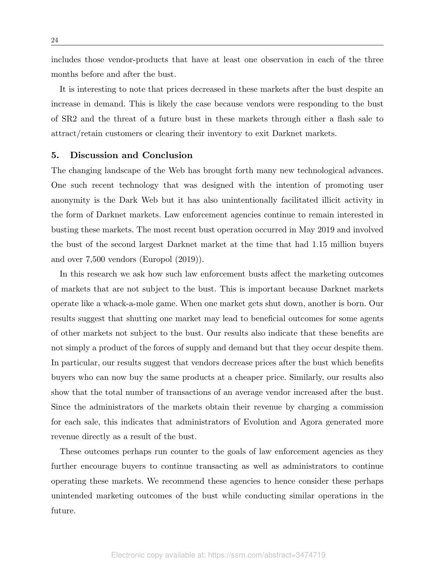includes those vendor-products that have at least one observation in each of the three months before and after the bust.

It is interesting to note that prices decreased in these markets after the bust despite an increase in demand. This is likely the case because vendors were responding to the bust of SR2 and the threat of a future bust in these markets through either a flash sale to attract/retain customers or clearing their inventory to exit Darknet markets.

# 5. Discussion and Conclusion

The changing landscape of the Web has brought forth many new technological advances. One such recent technology that was designed with the intention of promoting user anonymity is the Dark Web but it has also unintentionally facilitated illicit activity in the form of Darknet markets. Law enforcement agencies continue to remain interested in busting these markets. The most recent bust operation occurred in May 2019 and involved the bust of the second largest Darknet market at the time that had 1.15 million buyers and over 7,500 vendors (Europol (2019)).

In this research we ask how such law enforcement busts affect the marketing outcomes of markets that are not subject to the bust. This is important because Darknet markets operate like a whack-a-mole game. When one market gets shut down, another is born. Our results suggest that shutting one market may lead to beneficial outcomes for some agents of other markets not subject to the bust. Our results also indicate that these benefits are not simply a product of the forces of supply and demand but that they occur despite them. In particular, our results suggest that vendors decrease prices after the bust which benefits buyers who can now buy the same products at a cheaper price. Similarly, our results also show that the total number of transactions of an average vendor increased after the bust. Since the administrators of the markets obtain their revenue by charging a commission for each sale, this indicates that administrators of Evolution and Agora generated more revenue directly as a result of the bust.

These outcomes perhaps run counter to the goals of law enforcement agencies as they further encourage buyers to continue transacting as well as administrators to continue operating these markets. We recommend these agencies to hence consider these perhaps unintended marketing outcomes of the bust while conducting similar operations in the future.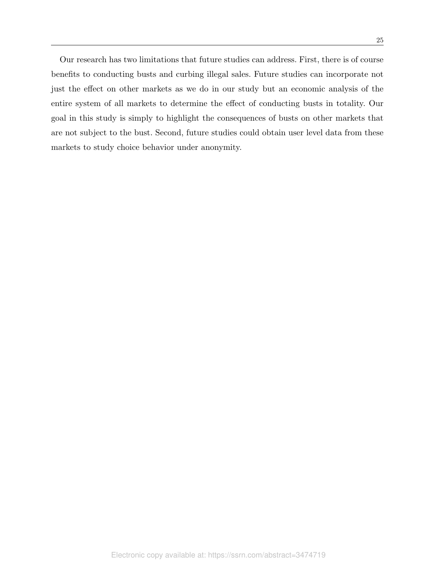Our research has two limitations that future studies can address. First, there is of course benefits to conducting busts and curbing illegal sales. Future studies can incorporate not just the effect on other markets as we do in our study but an economic analysis of the entire system of all markets to determine the effect of conducting busts in totality. Our goal in this study is simply to highlight the consequences of busts on other markets that are not subject to the bust. Second, future studies could obtain user level data from these markets to study choice behavior under anonymity.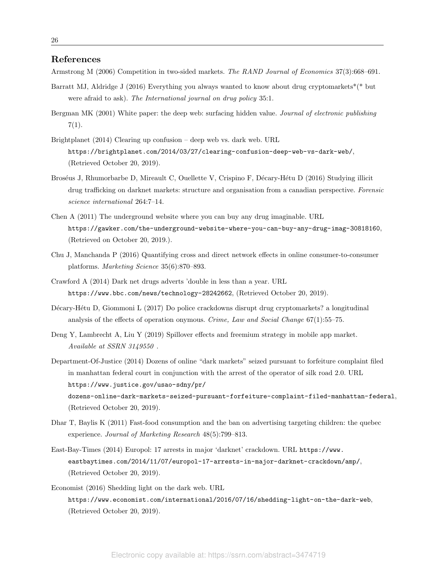## References

Armstrong M (2006) Competition in two-sided markets. *The RAND Journal of Economics* 37(3):668–691.

- Barratt MJ, Aldridge J (2016) Everything you always wanted to know about drug cryptomarkets<sup>\*</sup>(\* but were afraid to ask). *The International journal on drug policy* 35:1.
- Bergman MK (2001) White paper: the deep web: surfacing hidden value. *Journal of electronic publishing* 7(1).
- Brightplanet (2014) Clearing up confusion deep web vs. dark web. URL https://brightplanet.com/2014/03/27/clearing-confusion-deep-web-vs-dark-web/, (Retrieved October 20, 2019).
- Broséus J, Rhumorbarbe D, Mireault C, Ouellette V, Crispino F, Décary-Hétu D (2016) Studying illicit drug trafficking on darknet markets: structure and organisation from a canadian perspective. *Forensic science international* 264:7–14.
- Chen A (2011) The underground website where you can buy any drug imaginable. URL https://gawker.com/the-underground-website-where-you-can-buy-any-drug-imag-30818160, (Retrieved on October 20, 2019.).
- Chu J, Manchanda P (2016) Quantifying cross and direct network effects in online consumer-to-consumer platforms. *Marketing Science* 35(6):870–893.
- Crawford A (2014) Dark net drugs adverts 'double in less than a year. URL https://www.bbc.com/news/technology-28242662, (Retrieved October 20, 2019).
- D´ecary-H´etu D, Giommoni L (2017) Do police crackdowns disrupt drug cryptomarkets? a longitudinal analysis of the effects of operation onymous. *Crime, Law and Social Change* 67(1):55–75.
- Deng Y, Lambrecht A, Liu Y (2019) Spillover effects and freemium strategy in mobile app market. *Available at SSRN 3149550* .
- Department-Of-Justice (2014) Dozens of online "dark markets" seized pursuant to forfeiture complaint filed in manhattan federal court in conjunction with the arrest of the operator of silk road 2.0. URL https://www.justice.gov/usao-sdny/pr/ dozens-online-dark-markets-seized-pursuant-forfeiture-complaint-filed-manhattan-federal, (Retrieved October 20, 2019).
- Dhar T, Baylis K (2011) Fast-food consumption and the ban on advertising targeting children: the quebec experience. *Journal of Marketing Research* 48(5):799–813.
- East-Bay-Times (2014) Europol: 17 arrests in major 'darknet' crackdown. URL https://www. eastbaytimes.com/2014/11/07/europol-17-arrests-in-major-darknet-crackdown/amp/, (Retrieved October 20, 2019).
- Economist (2016) Shedding light on the dark web. URL https://www.economist.com/international/2016/07/16/shedding-light-on-the-dark-web, (Retrieved October 20, 2019).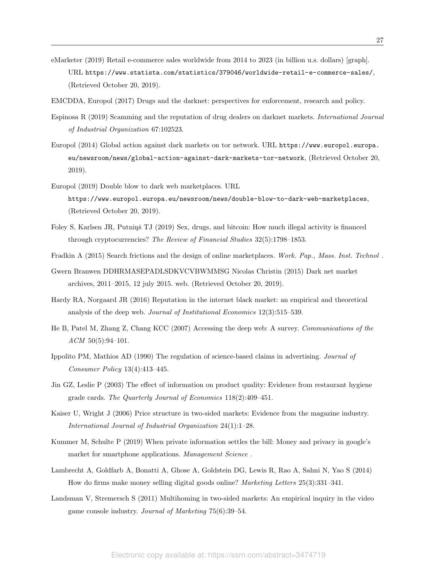- eMarketer (2019) Retail e-commerce sales worldwide from 2014 to 2023 (in billion u.s. dollars) [graph]. URL https://www.statista.com/statistics/379046/worldwide-retail-e-commerce-sales/, (Retrieved October 20, 2019).
- EMCDDA, Europol (2017) Drugs and the darknet: perspectives for enforcement, research and policy.
- Espinosa R (2019) Scamming and the reputation of drug dealers on darknet markets. *International Journal of Industrial Organization* 67:102523.
- Europol (2014) Global action against dark markets on tor network. URL https://www.europol.europa. eu/newsroom/news/global-action-against-dark-markets-tor-network, (Retrieved October 20, 2019).
- Europol (2019) Double blow to dark web marketplaces. URL https://www.europol.europa.eu/newsroom/news/double-blow-to-dark-web-marketplaces, (Retrieved October 20, 2019).
- Foley S, Karlsen JR, Putniņš TJ (2019) Sex, drugs, and bitcoin: How much illegal activity is financed through cryptocurrencies? *The Review of Financial Studies* 32(5):1798–1853.
- Fradkin A (2015) Search frictions and the design of online marketplaces. *Work. Pap., Mass. Inst. Technol* .
- Gwern Branwen DDHRMASEPADLSDKVCVBWMMSG Nicolas Christin (2015) Dark net market archives, 2011–2015, 12 july 2015. web. (Retrieved October 20, 2019).
- Hardy RA, Norgaard JR (2016) Reputation in the internet black market: an empirical and theoretical analysis of the deep web. *Journal of Institutional Economics* 12(3):515–539.
- He B, Patel M, Zhang Z, Chang KCC (2007) Accessing the deep web: A survey. *Communications of the ACM* 50(5):94–101.
- Ippolito PM, Mathios AD (1990) The regulation of science-based claims in advertising. *Journal of Consumer Policy* 13(4):413–445.
- Jin GZ, Leslie P (2003) The effect of information on product quality: Evidence from restaurant hygiene grade cards. *The Quarterly Journal of Economics* 118(2):409–451.
- Kaiser U, Wright J (2006) Price structure in two-sided markets: Evidence from the magazine industry. *International Journal of Industrial Organization* 24(1):1–28.
- Kummer M, Schulte P (2019) When private information settles the bill: Money and privacy in google's market for smartphone applications. *Management Science* .
- Lambrecht A, Goldfarb A, Bonatti A, Ghose A, Goldstein DG, Lewis R, Rao A, Sahni N, Yao S (2014) How do firms make money selling digital goods online? *Marketing Letters* 25(3):331–341.
- Landsman V, Stremersch S (2011) Multihoming in two-sided markets: An empirical inquiry in the video game console industry. *Journal of Marketing* 75(6):39–54.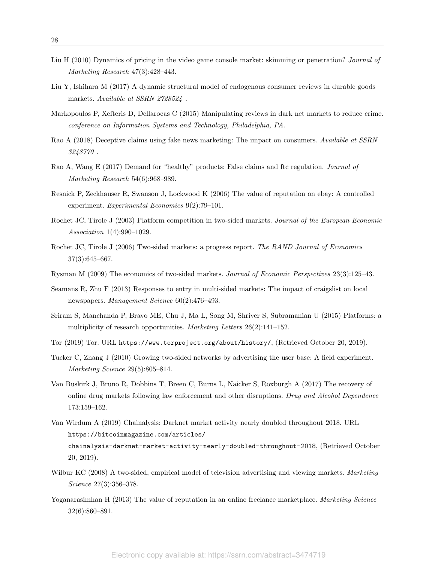- Liu H (2010) Dynamics of pricing in the video game console market: skimming or penetration? *Journal of Marketing Research* 47(3):428–443.
- Liu Y, Ishihara M (2017) A dynamic structural model of endogenous consumer reviews in durable goods markets. *Available at SSRN 2728524* .
- Markopoulos P, Xefteris D, Dellarocas C (2015) Manipulating reviews in dark net markets to reduce crime. *conference on Information Systems and Technology, Philadelphia, PA*.
- Rao A (2018) Deceptive claims using fake news marketing: The impact on consumers. *Available at SSRN 3248770* .
- Rao A, Wang E (2017) Demand for "healthy" products: False claims and ftc regulation. *Journal of Marketing Research* 54(6):968–989.
- Resnick P, Zeckhauser R, Swanson J, Lockwood K (2006) The value of reputation on ebay: A controlled experiment. *Experimental Economics* 9(2):79–101.
- Rochet JC, Tirole J (2003) Platform competition in two-sided markets. *Journal of the European Economic Association* 1(4):990–1029.
- Rochet JC, Tirole J (2006) Two-sided markets: a progress report. *The RAND Journal of Economics* 37(3):645–667.
- Rysman M (2009) The economics of two-sided markets. *Journal of Economic Perspectives* 23(3):125–43.
- Seamans R, Zhu F (2013) Responses to entry in multi-sided markets: The impact of craigslist on local newspapers. *Management Science* 60(2):476–493.
- Sriram S, Manchanda P, Bravo ME, Chu J, Ma L, Song M, Shriver S, Subramanian U (2015) Platforms: a multiplicity of research opportunities. *Marketing Letters* 26(2):141–152.
- Tor (2019) Tor. URL https://www.torproject.org/about/history/, (Retrieved October 20, 2019).
- Tucker C, Zhang J (2010) Growing two-sided networks by advertising the user base: A field experiment. *Marketing Science* 29(5):805–814.
- Van Buskirk J, Bruno R, Dobbins T, Breen C, Burns L, Naicker S, Roxburgh A (2017) The recovery of online drug markets following law enforcement and other disruptions. *Drug and Alcohol Dependence* 173:159–162.
- Van Wirdum A (2019) Chainalysis: Darknet market activity nearly doubled throughout 2018. URL https://bitcoinmagazine.com/articles/ chainalysis-darknet-market-activity-nearly-doubled-throughout-2018, (Retrieved October 20, 2019).
- Wilbur KC (2008) A two-sided, empirical model of television advertising and viewing markets. *Marketing Science* 27(3):356–378.
- Yoganarasimhan H (2013) The value of reputation in an online freelance marketplace. *Marketing Science* 32(6):860–891.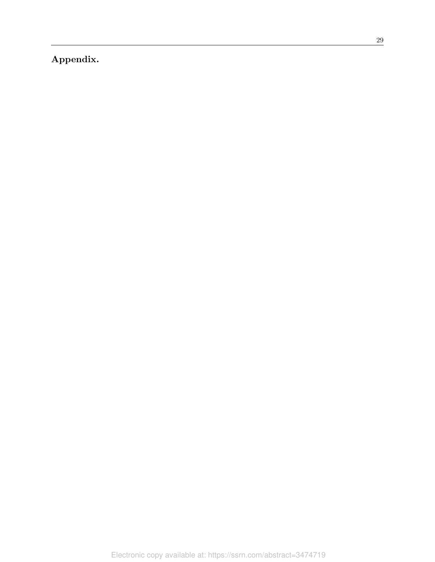Appendix.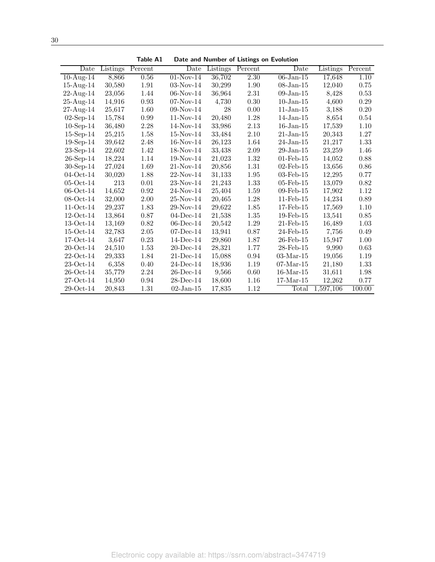| I            |              |
|--------------|--------------|
| ٦<br>w<br>۰. | I<br>I<br>۰. |

| Date            | <b>Listings</b> | Percent | Date         | <b>Listings</b> | Percent  | Date            | Listings  | Percent |
|-----------------|-----------------|---------|--------------|-----------------|----------|-----------------|-----------|---------|
| $10-Aug-14$     | 8,866           | 0.56    | $01-Nov-14$  | 36,702          | 2.30     | $06$ -Jan-15    | 17,648    | 1.10    |
| $15$ -Aug- $14$ | 30,580          | 1.91    | $03-Nov-14$  | 30,299          | 1.90     | $08$ -Jan-15    | 12,040    | 0.75    |
| $22$ -Aug-14    | 23,056          | 1.44    | $06$ -Nov-14 | 36,964          | $2.31\,$ | $09$ -Jan-15    | 8,428     | 0.53    |
| $25-Aug-14$     | 14,916          | 0.93    | $07-Nov-14$  | 4,730           | 0.30     | $10$ -Jan- $15$ | 4,600     | 0.29    |
| 27-Aug-14       | 25,617          | 1.60    | $09-Nov-14$  | 28              | 0.00     | $11$ -Jan- $15$ | 3,188     | 0.20    |
| $02$ -Sep-14    | 15,784          | 0.99    | $11-Nov-14$  | 20,480          | 1.28     | $14$ -Jan- $15$ | 8,654     | 0.54    |
| $10$ -Sep-14    | 36,480          | 2.28    | 14-Nov-14    | 33,986          | 2.13     | $16$ -Jan- $15$ | 17,539    | 1.10    |
| $15$ -Sep-14    | 25,215          | 1.58    | $15-Nov-14$  | 33,484          | 2.10     | $21$ -Jan-15    | 20,343    | 1.27    |
| $19$ -Sep-14    | 39,642          | 2.48    | 16-Nov-14    | 26,123          | 1.64     | 24-Jan-15       | 21,217    | 1.33    |
| $23$ -Sep-14    | 22,602          | 1.42    | 18-Nov-14    | 33,438          | 2.09     | 29-Jan-15       | 23,259    | 1.46    |
| $26$ -Sep-14    | 18,224          | 1.14    | 19-Nov-14    | 21,023          | 1.32     | $01$ -Feb- $15$ | 14,052    | 0.88    |
| $30$ -Sep-14    | 27,024          | 1.69    | 21-Nov-14    | 20,856          | 1.31     | $02$ -Feb-15    | 13,656    | 0.86    |
| $04-Oct-14$     | 30,020          | 1.88    | 22-Nov-14    | 31,133          | 1.95     | $03$ -Feb- $15$ | 12,295    | 0.77    |
| $05-Oct-14$     | 213             | 0.01    | 23-Nov-14    | 21,243          | 1.33     | $05$ -Feb- $15$ | 13,079    | 0.82    |
| $06-Oct-14$     | 14,652          | 0.92    | 24-Nov-14    | 25,404          | 1.59     | $09$ -Feb-15    | 17,902    | 1.12    |
| $08-Oct-14$     | 32,000          | 2.00    | 25-Nov-14    | 20,465          | 1.28     | $11$ -Feb- $15$ | 14,234    | 0.89    |
| $11-Oct-14$     | 29,237          | 1.83    | 29-Nov-14    | 29,622          | 1.85     | 17-Feb-15       | 17,569    | 1.10    |
| $12-Oct-14$     | 13,864          | 0.87    | $04$ -Dec-14 | 21,538          | 1.35     | $19$ -Feb- $15$ | 13,541    | 0.85    |
| $13-Oct-14$     | 13,169          | 0.82    | $06$ -Dec-14 | 20,542          | 1.29     | $21$ -Feb- $15$ | 16,489    | 1.03    |
| $15-Oct-14$     | 32,783          | 2.05    | $07$ -Dec-14 | 13,941          | 0.87     | 24-Feb-15       | 7,756     | 0.49    |
| $17-Oct-14$     | 3,647           | 0.23    | $14$ -Dec-14 | 29,860          | 1.87     | 26-Feb-15       | 15,947    | 1.00    |
| $20$ -Oct-14    | 24,510          | 1.53    | $20$ -Dec-14 | 28,321          | 1.77     | $28$ -Feb- $15$ | 9,990     | 0.63    |
| $22-Oct-14$     | 29,333          | 1.84    | $21$ -Dec-14 | 15,088          | 0.94     | $03$ -Mar-15    | 19,056    | 1.19    |
| $23-Oct-14$     | 6,358           | 0.40    | $24$ -Dec-14 | 18,936          | 1.19     | $07$ -Mar-15    | 21,180    | 1.33    |
| $26$ -Oct-14    | 35,779          | 2.24    | $26$ -Dec-14 | 9,566           | 0.60     | $16$ -Mar- $15$ | 31,611    | 1.98    |
| $27-Oct-14$     | 14,950          | 0.94    | $28$ -Dec-14 | 18,600          | 1.16     | $17$ -Mar- $15$ | 12,262    | 0.77    |
| $29-Oct-14$     | 20,843          | 1.31    | $02$ -Jan-15 | 17,835          | 1.12     | Total           | 1,597,106 | 100.00  |

Table A1 Date and Number of Listings on Evolution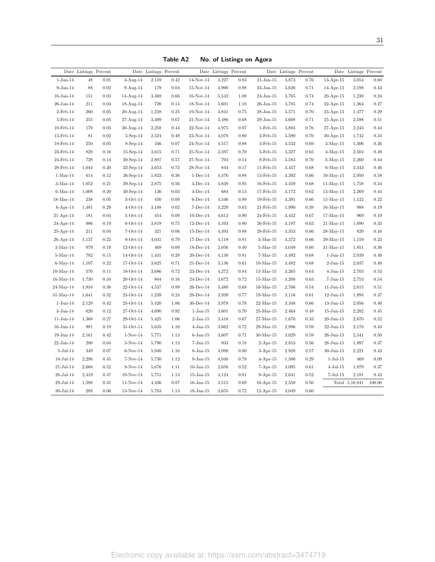|                  | Date Listings Percent |            |                                    | Date Listings Percent |          |                 | Date Listings Percent |      |                 | Date Listings Percent |            |                 | Date Listings Percent |            |
|------------------|-----------------------|------------|------------------------------------|-----------------------|----------|-----------------|-----------------------|------|-----------------|-----------------------|------------|-----------------|-----------------------|------------|
| $1-Jan-14$       | 48                    | 0.01       | $3-Aug-14$                         | 2,159                 | 0.42     | 14-Nov-14       | 4,227                 | 0.83 | $21$ -Jan-15    | 3,873                 | 0.76       | $13-Apr-15$     | 3,054                 | 0.60       |
| $9-Jan-14$       | 88                    | 0.02       | $9-Aug-14$                         | 179                   | 0.04     | $15-Nov-14$     | 4,990                 | 0.98 | $23$ -Jan-15    | 3,626                 | 0.71       | $14$ -Apr-15    | 2,198                 | 0.43       |
| $16$ -Jan- $14$  | 151                   | 0.03       | $14$ -Aug- $14$                    | 3,369                 | 0.66     | 16-Nov-14       | 5,542                 | 1.08 | $24$ -Jan-15    | 3,765                 | 0.74       | $20$ -Apr-15    | 1,238                 | $0.24\,$   |
| $26$ -Jan-14     | 211                   | 0.04       | 18-Aug-14                          | 720                   | 0.14     | 18-Nov-14       | 5,601                 | 1.10 | $26$ -Jan-15    | 3,785                 | 0.74       | $22$ -Apr-15    | 1,364                 | 0.27       |
| $2$ -Feb-14      | $260\,$               | 0.05       | $20-Aug-14$                        | 1,258                 | 0.25     | 19-Nov-14       | 3,841                 | 0.75 | $28 - Jan-15$   | 3,571                 | 0.70       | $23$ -Apr-15    | 1,477                 | $0.29\,$   |
| $5$ -Feb-14      | $255\,$               | $0.05\,$   | $27-Aug-14$                        | 3,409                 | 0.67     | 21-Nov-14       | 3,486                 | 0.68 | $29$ -Jan-15    | 3,608                 | 0.71       | $25$ -Apr-15    | 2,598                 | $\rm 0.51$ |
| $10$ -Feb- $14$  | 170                   | 0.03       | $30-Aug-14$                        | 2,258                 | 0.44     | 22-Nov-14       | 4,975                 | 0.97 | $1-Feb-15$      | 3,885                 | 0.76       | $27$ -Apr-15    | 2,243                 | 0.44       |
| $15$ -Feb- $14$  | 81                    | $0.02\,$   | $5-Sep-14$                         | 2,524                 | 0.49     | 23-Nov-14       | 4,078                 | 0.80 | $2$ -Feb-15     | 3,590                 | 0.70       | $30-Apr-15$     | 1,742                 | 0.34       |
| 18-Feb-14        | 250                   | 0.05       | $8-Sep-14$                         | 346                   | 0.07     | 24-Nov-14       | 4,517                 | 0.88 | $3$ -Feb- $15$  | 3,532                 | 0.69       | $3-May-15$      | 1,306                 | 0.26       |
| $23$ -Feb- $14$  | 820                   | 0.16       | $15$ -Sep- $14$                    | 3,615                 | 0.71     | 25-Nov-14       | 3,597                 | 0.70 | $5$ -Feb- $15$  | 3,327                 | 0.65       | $4$ -May-15     | 2,504                 | 0.49       |
| 24-Feb-14        | 728                   | 0.14       | $20$ -Sep-14                       | 2,887                 | 0.57     | 27-Nov-14       | 703                   | 0.14 | $9$ -Feb-15     | 3,583                 | 0.70       | $5$ -May- $15$  | 2,260                 | 0.44       |
| 28-Feb-14        | 1,044                 | $0.20\,$   | $22$ -Sep-14                       | 3,653                 | 0.72     | 28-Nov-14       | 844                   | 0.17 | $11$ -Feb- $15$ | 3,457                 | $\,0.68\,$ | $6$ -May-15     | 2,343                 | 0.46       |
| $1-Mar-14$       | 614                   | 0.12       | $26$ -Sep-14                       | 1,823                 | 0.36     | $1-Dec-14$      | 4,476                 | 0.88 | $13$ -Feb- $15$ | 3,392                 | 0.66       | $10$ -May- $15$ | 2,950                 | 0.58       |
| $3-Mar-14$       | 1,052                 | 0.21       | $29-Sep-14$                        | 2,875                 | 0.56     | $3$ -Dec-14     | 4,839                 | 0.95 | $16$ -Feb- $15$ | 3,459                 | 0.68       | $11-May-15$     | 1,758                 | 0.34       |
| $6$ -Mar-14      | 1,008                 | 0.20       | $30\hbox{-}\mathrm{Sep}\hbox{-}14$ | 136                   | 0.03     | $4$ -Dec-14     | 684                   | 0.13 | 17-Feb-15       | 3,172                 | 0.62       | $13$ -May- $15$ | 2,269                 | 0.44       |
| $18$ -Mar- $14$  | 238                   | $0.05\,$   | $3-Oct-14$                         | 450                   | 0.09     | $6$ -Dec-14     | 4,546                 | 0.89 | 19-Feb-15       | 3,391                 | $0.66\,$   | $15$ -May- $15$ | 1,122                 | $0.22\,$   |
| $6-Apr-14$       | 1,481                 | $\rm 0.29$ | $4-Oct-14$                         | 3,188                 | 0.62     | $7-Dec-14$      | 3,229                 | 0.63 | $21$ -Feb-15    | 1,990                 | $0.39\,$   | $16$ -May- $15$ | 988                   | 0.19       |
| $21-Apr-14$      | 181                   | 0.04       | $5$ -Oct-14                        | 454                   | 0.09     | $10$ -Dec-14    | 4,612                 | 0.90 | 24-Feb-15       | 3,432                 | 0.67       | $17$ -May- $15$ | 969                   | 0.19       |
| 24-Apr-14        | 986                   | 0.19       | $6$ -Oct-14                        | 3,819                 | 0.75     | $12$ -Dec-14    | 4,103                 | 0.80 | $26$ -Feb- $15$ | 3,197                 | 0.63       | $21$ -May- $15$ | 1,690                 | 0.33       |
| $25$ -Apr-14     | 211                   | 0.04       | $7-Oct-14$                         | 321                   | 0.06     | $15$ -Dec-14    | 4,493                 | 0.88 | $28$ -Feb- $15$ | 3,353                 | 0.66       | $28$ -May-15    | 820                   | 0.16       |
| $26$ -Apr-14     | 1,137                 | 0.22       | $9-Oct-14$                         | 4,031                 | 0.79     | $17$ -Dec- $14$ | 4,118                 | 0.81 | $3-Mar-15$      | 3,372                 | 0.66       | 29-May-15       | 1,159                 | 0.23       |
| $3-May-14$       | 979                   | 0.19       | $12-Oct-14$                        | 469                   | 0.09     | $18$ -Dec- $14$ | 2,056                 | 0.40 | $5-Mar-15$      | 3,049                 | 0.60       | $31$ -May- $15$ | 1,851                 | $0.36\,$   |
| $5$ -May-14      | 782                   | 0.15       | $14-Oct-14$                        | 1,431                 | 0.28     | $20$ -Dec-14    | 4,130                 | 0.81 | $7-Mar-15$      | 3,492                 | 0.68       | $1-J$ un- $15$  | 2,039                 | 0.40       |
| $6$ -May-14      | 1,107                 | 0.22       | $17-Oct-14$                        | 3,625                 | 0.71     | $21$ -Dec-14    | 3,136                 | 0.61 | $10-Mar-15$     | 3,492                 | 0.68       | $2-J$ un- $15$  | 2,037                 | 0.40       |
| $10$ -May-14     | 570                   | 0.11       | $19-Oct-14$                        | 3,686                 | 0.72     | $23$ -Dec-14    | 4,272                 | 0.84 | $13-Mar-15$     | 3,265                 | 0.64       | $4-J$ un- $15$  | 2,703                 | 0.53       |
| $16$ -May- $14$  | 1,730                 | $0.34\,$   | $20$ -Oct-14                       | 804                   | 0.16     | $24$ -Dec-14    | 3,672                 | 0.72 | $15$ -Mar- $15$ | 3,208                 | 0.63       | $7 - Jun-15$    | 2,753                 | 0.54       |
| 24-May-14        | 1,934                 | 0.38       | 22-Oct-14                          | 4,537                 | 0.89     | $26$ -Dec-14    | 3,480                 | 0.68 | $16$ -Mar- $15$ | 2,766                 | 0.54       | $11-J$ un- $15$ | 2,615                 | $0.51\,$   |
| $31$ -May-14     | 1,641                 | 0.32       | 23-Oct-14                          | 1,239                 | 0.24     | $28$ -Dec-14    | 3,939                 | 0.77 | $19-Mar-15$     | 3,116                 | 0.61       | $12$ -Jun- $15$ | 1,894                 | 0.37       |
| $1-J$ un- $14$   | 2,129                 | 0.42       | $25$ -Oct-14                       | 5,420                 | 1.06     | $30$ -Dec-14    | 3,978                 | 0.78 | $22$ -Mar-15    | 3,348                 | $0.66\,$   | $13$ -Jun- $15$ | 2,056                 | 0.40       |
| $3-J$ un- $14$   | 620                   | 0.12       | $27-Oct-14$                        | 4,690                 | 0.92     | $1-Jan-15$      | 3,601                 | 0.70 | $25$ -Mar-15    | 2,464                 | 0.48       | $15$ -Jun- $15$ | 2,282                 | 0.45       |
| $11-J$ un- $14$  | 1,368                 | 0.27       | $29-Oct-14$                        | 5,425                 | 1.06     | $2$ -Jan- $15$  | 3,416                 | 0.67 | $27-Mar-15$     | 1,676                 | 0.33       | $20$ -Jun- $15$ | 2,670                 | 0.52       |
| $16$ -Jun- $14$  | 981                   | $0.19\,$   | $31-Oct-14$                        | 5,635                 | $1.10\,$ | $4-Jan-15$      | 3,662                 | 0.72 | $29-Mar-15$     | 2,996                 | $\rm 0.59$ | $22$ -Jun-15    | 2,178                 | 0.43       |
| $19$ -Jun- $14$  | 2,161                 | 0.42       | $1-Nov-14$                         | 5,771                 | 1.13     | $6$ -Jan- $15$  | 3,607                 | 0.71 | $30-Mar-15$     | 3,029                 | 0.59       | $26$ -Jun- $15$ | 2,541                 | 0.50       |
| $22$ -Jun-14     | 200                   | 0.04       | $3-Nov-14$                         | 5,790                 | 1.13     | $7-Jan-15$      | 933                   | 0.18 | $2-Apr-15$      | 2,853                 | 0.56       | $28$ -Jun-15    | 1,897                 | 0.37       |
| $5 -$ Jul $-14$  | 349                   | 0.07       | $6-Nov-14$                         | 5,940                 | 1.16     | $8 - Jan-15$    | 4,098                 | 0.80 | $3-Apr-15$      | 2,928                 | 0.57       | $30 - Jun-15$   | 2,221                 | 0.43       |
| $18 -$ Jul- $14$ | 2,296                 | 0.45       | $7-Nov-14$                         | 5,730                 | 1.12     | $9 - Jan-15$    | 4,048                 | 0.79 | $4$ -Apr-15     | 1,506                 | 0.29       | $1-Jul-15$      | 469                   | $0.09\,$   |
| $21-Jul-14$      | 2,668                 | 0.52       | 8-Nov-14                           | 5,676                 | 1.11     | $10$ -Jan- $15$ | 2,658                 | 0.52 | $7-Apr-15$      | 3,095                 | 0.61       | $4$ -Jul- $15$  | 1,879                 | 0.37       |
| $26$ -Jul-14     | 2,419                 | 0.47       | $10-Nov-14$                        | 5,751                 | 1.13     | $15$ -Jan- $15$ | 4,124                 | 0.81 | $9-Apr-15$      | 2,641                 | 0.52       | $7-Jul-15$      | 2,181                 | 0.43       |
| $29-Jul-14$      | 1,598                 | 0.31       | 11-Nov-14                          | 4,436                 | 0.87     | $16$ -Jan- $15$ | 3,515                 | 0.69 | $10-Apr-15$     | 2,558                 | 0.50       |                 | Total 5,10,841        | 100.00     |
| $30 -$ Jul-14    | $\,293$               | 0.06       | $13-Nov-14$                        | 5,783                 | 1.13     | $18$ -Jan- $15$ | 3,655                 | 0.72 | $12-Apr-15$     | 3,049                 | 0.60       |                 |                       |            |

Table A2 No. of Listings on Agora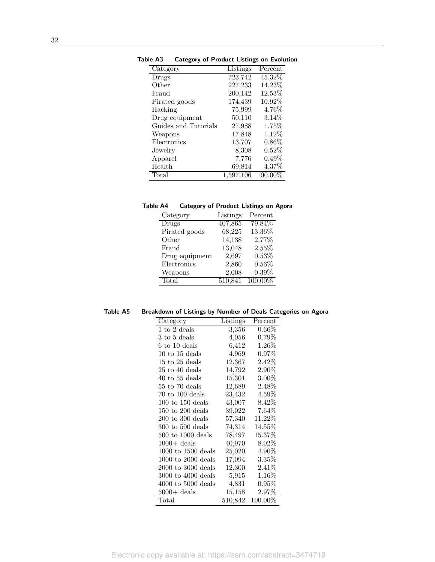| Category             | Listings  | Percent    |
|----------------------|-----------|------------|
| Drugs                | 723,742   | 45.32%     |
| Other                | 227,233   | 14.23%     |
| Fraud                | 200,142   | 12.53%     |
| Pirated goods        | 174,439   | 10.92%     |
| Hacking              | 75,999    | $4.76\%$   |
| Drug equipment       | 50,110    | $3.14\%$   |
| Guides and Tutorials | 27,988    | $1.75\%$   |
| Weapons              | 17,848    | 1.12%      |
| Electronics          | 13,707    | $0.86\%$   |
| Jewelry              | 8,308     | 0.52%      |
| Apparel              | 7,776     | $0.49\%$   |
| Health               | 69,814    | $4.37\%$   |
| Total                | 1,597,106 | $100.00\%$ |

Table A3 Category of Product Listings on Evolution

| Table A4 | Category of Product Listings on Agora |  |  |  |
|----------|---------------------------------------|--|--|--|
|          |                                       |  |  |  |

| Category       | Listings | Percent    |
|----------------|----------|------------|
| Drugs          | 407,865  | 79.84\%    |
| Pirated goods  | 68,225   | 13.36%     |
| Other          | 14,138   | 2.77%      |
| Fraud          | 13,048   | 2.55%      |
| Drug equipment | 2,697    | 0.53%      |
| Electronics    | 2,860    | $0.56\%$   |
| Weapons        | 2,008    | 0.39%      |
| Total          | 510,841  | $100.00\%$ |

Table A5 Breakdown of Listings by Number of Deals Categories on Agora

| Category                            | Listings  | Percent    |
|-------------------------------------|-----------|------------|
| $1$ to $2$ deals                    | 3,356     | $0.66\%$   |
| 3 to 5 deals                        | 4,056     | $0.79\%$   |
| $6$ to $10$ deals                   | 6,412     | $1.26\%$   |
| $10 \text{ to } 15 \text{ deals}$   | 4,969     | $0.97\%$   |
| $15 \text{ to } 25 \text{ deals}$   | 12,367    | $2.42\%$   |
| $25$ to $40$ deals                  | 14,792    | $2.90\%$   |
| $40$ to 55 deals                    | 15,301    | $3.00\%$   |
| $55$ to $70$ deals                  | 12,689    | $2.48\%$   |
| $70$ to $100$ deals                 | 23,432    | $4.59\%$   |
| $100 \text{ to } 150 \text{ deals}$ | 43,007    | $8.42\%$   |
| $150 \text{ to } 200 \text{ deals}$ | 39,022    | $7.64\%$   |
| $200$ to $300$ deals                | 57,340    | 11.22%     |
| $300$ to $500$ deals                | 74,314    | 14.55%     |
| $500$ to $1000$ deals               | 78,497    | 15.37%     |
| $1000 +$ deals                      | 40,970    | $8.02\%$   |
| $1000$ to $1500$ deals              | 25,020    | $4.90\%$   |
| $1000$ to $2000$ deals              | 17,094    | 3.35%      |
| $2000$ to $3000$ deals              | 12,300    | $2.41\%$   |
| $3000$ to $4000$ deals              | $5{,}915$ | $1.16\%$   |
| $4000$ to $5000$ deals              | 4,831     | $0.95\%$   |
| $5000 +$ deals                      | 15,158    | $2.97\%$   |
| Total                               | 510,842   | $100.00\%$ |